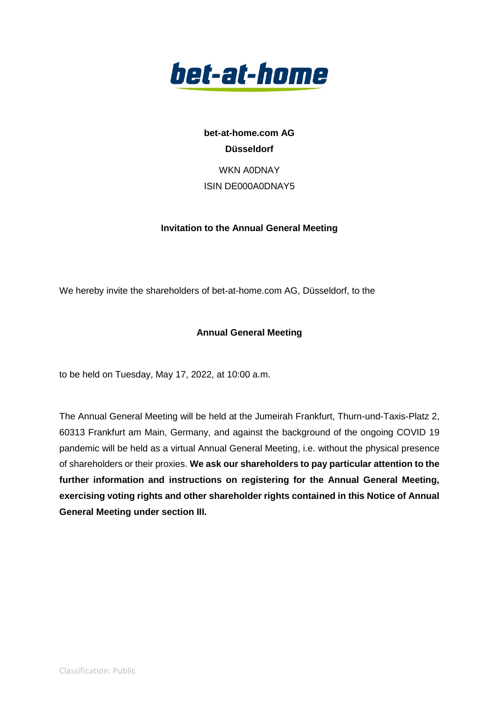

**bet-at-home.com AG Düsseldorf** WKN A0DNAY ISIN DE000A0DNAY5

## **Invitation to the Annual General Meeting**

We hereby invite the shareholders of bet-at-home.com AG, Düsseldorf, to the

## **Annual General Meeting**

to be held on Tuesday, May 17, 2022, at 10:00 a.m.

The Annual General Meeting will be held at the Jumeirah Frankfurt, Thurn-und-Taxis-Platz 2, 60313 Frankfurt am Main, Germany, and against the background of the ongoing COVID 19 pandemic will be held as a virtual Annual General Meeting, i.e. without the physical presence of shareholders or their proxies. **We ask our shareholders to pay particular attention to the further information and instructions on registering for the Annual General Meeting, exercising voting rights and other shareholder rights contained in this Notice of Annual General Meeting under section III.**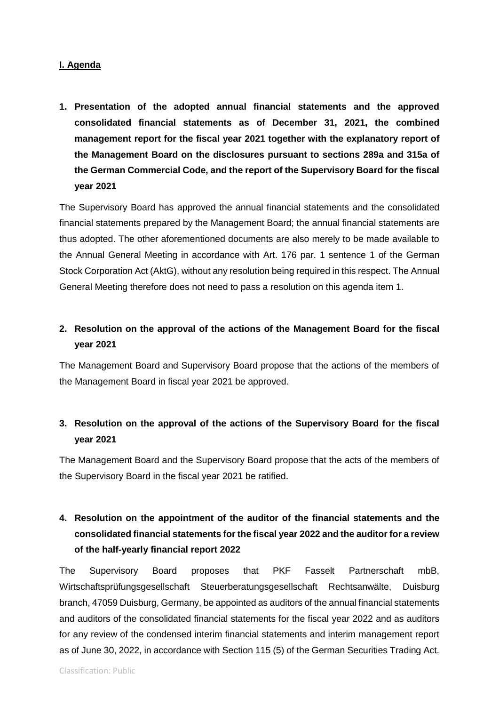## **I. Agenda**

**1. Presentation of the adopted annual financial statements and the approved consolidated financial statements as of December 31, 2021, the combined management report for the fiscal year 2021 together with the explanatory report of the Management Board on the disclosures pursuant to sections 289a and 315a of the German Commercial Code, and the report of the Supervisory Board for the fiscal year 2021**

The Supervisory Board has approved the annual financial statements and the consolidated financial statements prepared by the Management Board; the annual financial statements are thus adopted. The other aforementioned documents are also merely to be made available to the Annual General Meeting in accordance with Art. 176 par. 1 sentence 1 of the German Stock Corporation Act (AktG), without any resolution being required in this respect. The Annual General Meeting therefore does not need to pass a resolution on this agenda item 1.

## **2. Resolution on the approval of the actions of the Management Board for the fiscal year 2021**

The Management Board and Supervisory Board propose that the actions of the members of the Management Board in fiscal year 2021 be approved.

## **3. Resolution on the approval of the actions of the Supervisory Board for the fiscal year 2021**

The Management Board and the Supervisory Board propose that the acts of the members of the Supervisory Board in the fiscal year 2021 be ratified.

# **4. Resolution on the appointment of the auditor of the financial statements and the consolidated financial statements for the fiscal year 2022 and the auditor for a review of the half-yearly financial report 2022**

The Supervisory Board proposes that PKF Fasselt Partnerschaft mbB, Wirtschaftsprüfungsgesellschaft Steuerberatungsgesellschaft Rechtsanwälte, Duisburg branch, 47059 Duisburg, Germany, be appointed as auditors of the annual financial statements and auditors of the consolidated financial statements for the fiscal year 2022 and as auditors for any review of the condensed interim financial statements and interim management report as of June 30, 2022, in accordance with Section 115 (5) of the German Securities Trading Act.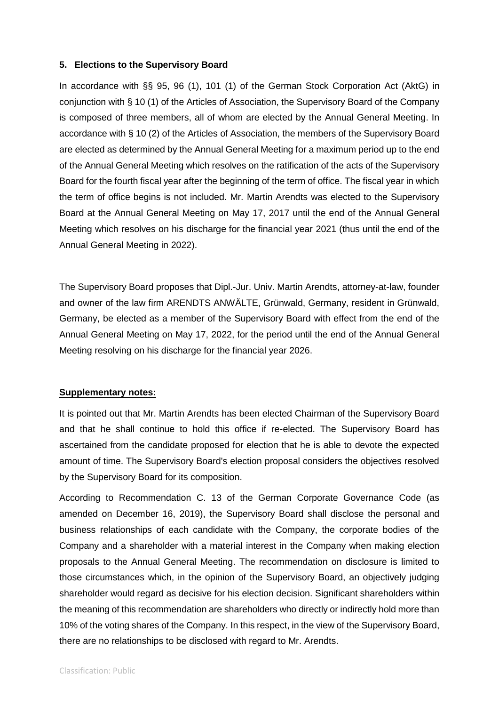#### **5. Elections to the Supervisory Board**

In accordance with §§ 95, 96 (1), 101 (1) of the German Stock Corporation Act (AktG) in conjunction with § 10 (1) of the Articles of Association, the Supervisory Board of the Company is composed of three members, all of whom are elected by the Annual General Meeting. In accordance with § 10 (2) of the Articles of Association, the members of the Supervisory Board are elected as determined by the Annual General Meeting for a maximum period up to the end of the Annual General Meeting which resolves on the ratification of the acts of the Supervisory Board for the fourth fiscal year after the beginning of the term of office. The fiscal year in which the term of office begins is not included. Mr. Martin Arendts was elected to the Supervisory Board at the Annual General Meeting on May 17, 2017 until the end of the Annual General Meeting which resolves on his discharge for the financial year 2021 (thus until the end of the Annual General Meeting in 2022).

The Supervisory Board proposes that Dipl.-Jur. Univ. Martin Arendts, attorney-at-law, founder and owner of the law firm ARENDTS ANWÄLTE, Grünwald, Germany, resident in Grünwald, Germany, be elected as a member of the Supervisory Board with effect from the end of the Annual General Meeting on May 17, 2022, for the period until the end of the Annual General Meeting resolving on his discharge for the financial year 2026.

#### **Supplementary notes:**

It is pointed out that Mr. Martin Arendts has been elected Chairman of the Supervisory Board and that he shall continue to hold this office if re-elected. The Supervisory Board has ascertained from the candidate proposed for election that he is able to devote the expected amount of time. The Supervisory Board's election proposal considers the objectives resolved by the Supervisory Board for its composition.

According to Recommendation C. 13 of the German Corporate Governance Code (as amended on December 16, 2019), the Supervisory Board shall disclose the personal and business relationships of each candidate with the Company, the corporate bodies of the Company and a shareholder with a material interest in the Company when making election proposals to the Annual General Meeting. The recommendation on disclosure is limited to those circumstances which, in the opinion of the Supervisory Board, an objectively judging shareholder would regard as decisive for his election decision. Significant shareholders within the meaning of this recommendation are shareholders who directly or indirectly hold more than 10% of the voting shares of the Company. In this respect, in the view of the Supervisory Board, there are no relationships to be disclosed with regard to Mr. Arendts.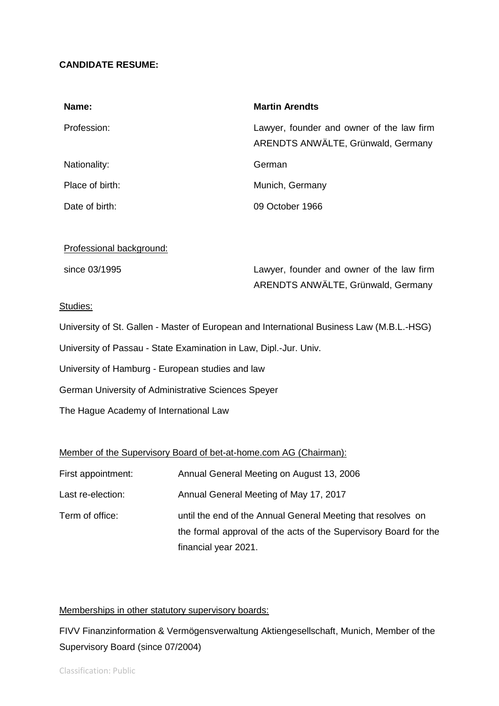## **CANDIDATE RESUME:**

| Name:           | <b>Martin Arendts</b>                                                           |
|-----------------|---------------------------------------------------------------------------------|
| Profession:     | Lawyer, founder and owner of the law firm<br>ARENDTS ANWÄLTE, Grünwald, Germany |
| Nationality:    | German                                                                          |
| Place of birth: | Munich, Germany                                                                 |
| Date of birth:  | 09 October 1966                                                                 |

### Professional background:

| since 03/1995 | Lawyer, founder and owner of the law firm |
|---------------|-------------------------------------------|
|               | ARENDTS ANWÄLTE, Grünwald, Germany        |

#### Studies:

University of St. Gallen - Master of European and International Business Law (M.B.L.-HSG)

University of Passau - State Examination in Law, Dipl.-Jur. Univ.

University of Hamburg - European studies and law

German University of Administrative Sciences Speyer

The Hague Academy of International Law

### Member of the Supervisory Board of bet-at-home.com AG (Chairman):

| First appointment: | Annual General Meeting on August 13, 2006                                                                                        |
|--------------------|----------------------------------------------------------------------------------------------------------------------------------|
| Last re-election:  | Annual General Meeting of May 17, 2017                                                                                           |
| Term of office:    | until the end of the Annual General Meeting that resolves on<br>the formal approval of the acts of the Supervisory Board for the |
|                    | financial year 2021.                                                                                                             |

## Memberships in other statutory supervisory boards:

FIVV Finanzinformation & Vermögensverwaltung Aktiengesellschaft, Munich, Member of the Supervisory Board (since 07/2004)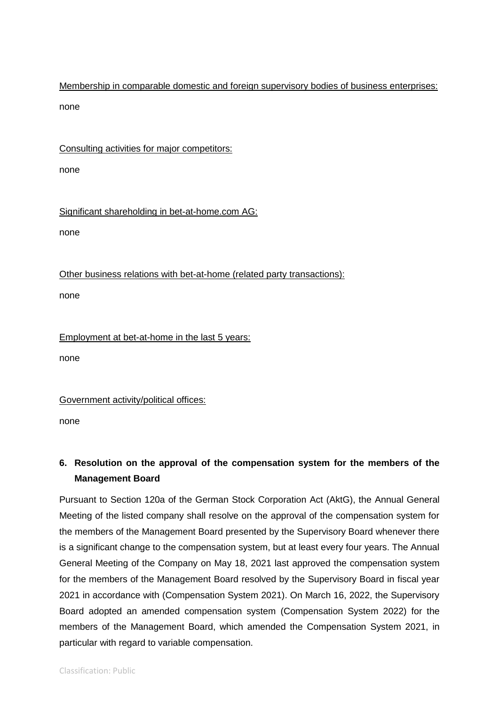Membership in comparable domestic and foreign supervisory bodies of business enterprises: none

Consulting activities for major competitors:

none

Significant shareholding in bet-at-home.com AG:

none

Other business relations with bet-at-home (related party transactions):

none

Employment at bet-at-home in the last 5 years:

none

Government activity/political offices:

none

# **6. Resolution on the approval of the compensation system for the members of the Management Board**

Pursuant to Section 120a of the German Stock Corporation Act (AktG), the Annual General Meeting of the listed company shall resolve on the approval of the compensation system for the members of the Management Board presented by the Supervisory Board whenever there is a significant change to the compensation system, but at least every four years. The Annual General Meeting of the Company on May 18, 2021 last approved the compensation system for the members of the Management Board resolved by the Supervisory Board in fiscal year 2021 in accordance with (Compensation System 2021). On March 16, 2022, the Supervisory Board adopted an amended compensation system (Compensation System 2022) for the members of the Management Board, which amended the Compensation System 2021, in particular with regard to variable compensation.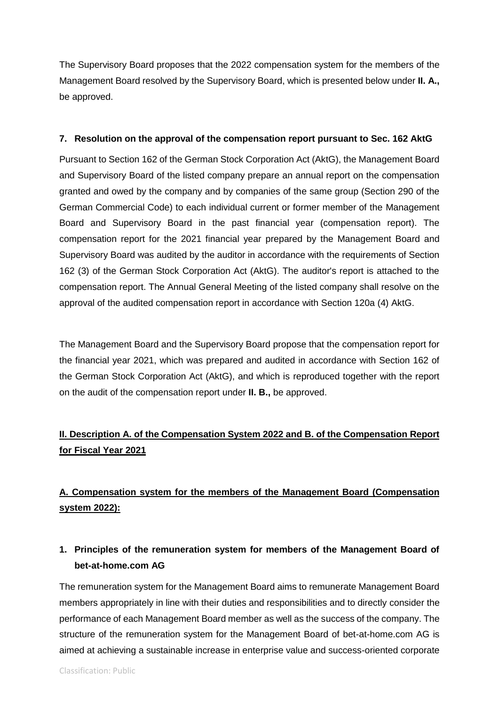The Supervisory Board proposes that the 2022 compensation system for the members of the Management Board resolved by the Supervisory Board, which is presented below under **II. A.,**  be approved.

## **7. Resolution on the approval of the compensation report pursuant to Sec. 162 AktG**

Pursuant to Section 162 of the German Stock Corporation Act (AktG), the Management Board and Supervisory Board of the listed company prepare an annual report on the compensation granted and owed by the company and by companies of the same group (Section 290 of the German Commercial Code) to each individual current or former member of the Management Board and Supervisory Board in the past financial year (compensation report). The compensation report for the 2021 financial year prepared by the Management Board and Supervisory Board was audited by the auditor in accordance with the requirements of Section 162 (3) of the German Stock Corporation Act (AktG). The auditor's report is attached to the compensation report. The Annual General Meeting of the listed company shall resolve on the approval of the audited compensation report in accordance with Section 120a (4) AktG.

The Management Board and the Supervisory Board propose that the compensation report for the financial year 2021, which was prepared and audited in accordance with Section 162 of the German Stock Corporation Act (AktG), and which is reproduced together with the report on the audit of the compensation report under **II. B.,** be approved.

# **II. Description A. of the Compensation System 2022 and B. of the Compensation Report for Fiscal Year 2021**

# **A. Compensation system for the members of the Management Board (Compensation system 2022):**

## **1. Principles of the remuneration system for members of the Management Board of bet-at-home.com AG**

The remuneration system for the Management Board aims to remunerate Management Board members appropriately in line with their duties and responsibilities and to directly consider the performance of each Management Board member as well as the success of the company. The structure of the remuneration system for the Management Board of bet-at-home.com AG is aimed at achieving a sustainable increase in enterprise value and success-oriented corporate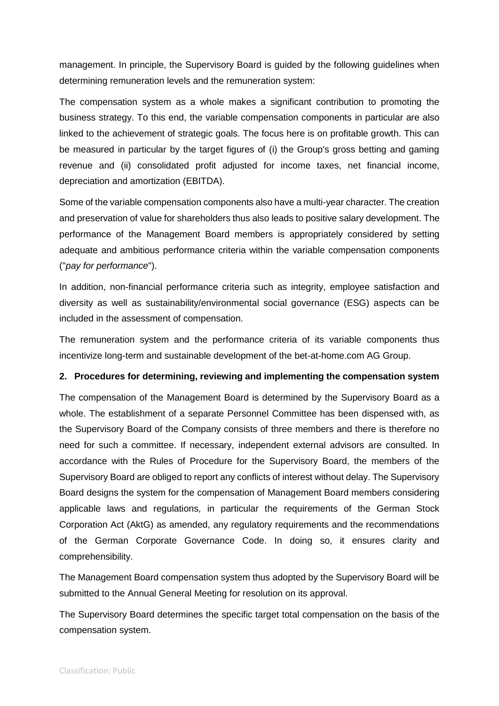management. In principle, the Supervisory Board is guided by the following guidelines when determining remuneration levels and the remuneration system:

The compensation system as a whole makes a significant contribution to promoting the business strategy. To this end, the variable compensation components in particular are also linked to the achievement of strategic goals. The focus here is on profitable growth. This can be measured in particular by the target figures of (i) the Group's gross betting and gaming revenue and (ii) consolidated profit adjusted for income taxes, net financial income, depreciation and amortization (EBITDA).

Some of the variable compensation components also have a multi-year character. The creation and preservation of value for shareholders thus also leads to positive salary development. The performance of the Management Board members is appropriately considered by setting adequate and ambitious performance criteria within the variable compensation components ("*pay for performance*").

In addition, non-financial performance criteria such as integrity, employee satisfaction and diversity as well as sustainability/environmental social governance (ESG) aspects can be included in the assessment of compensation.

The remuneration system and the performance criteria of its variable components thus incentivize long-term and sustainable development of the bet-at-home.com AG Group.

### **2. Procedures for determining, reviewing and implementing the compensation system**

The compensation of the Management Board is determined by the Supervisory Board as a whole. The establishment of a separate Personnel Committee has been dispensed with, as the Supervisory Board of the Company consists of three members and there is therefore no need for such a committee. If necessary, independent external advisors are consulted. In accordance with the Rules of Procedure for the Supervisory Board, the members of the Supervisory Board are obliged to report any conflicts of interest without delay. The Supervisory Board designs the system for the compensation of Management Board members considering applicable laws and regulations, in particular the requirements of the German Stock Corporation Act (AktG) as amended, any regulatory requirements and the recommendations of the German Corporate Governance Code. In doing so, it ensures clarity and comprehensibility.

The Management Board compensation system thus adopted by the Supervisory Board will be submitted to the Annual General Meeting for resolution on its approval.

The Supervisory Board determines the specific target total compensation on the basis of the compensation system.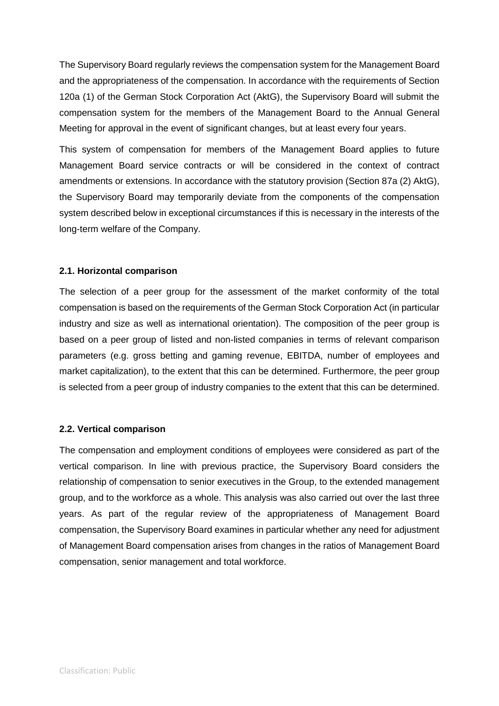The Supervisory Board regularly reviews the compensation system for the Management Board and the appropriateness of the compensation. In accordance with the requirements of Section 120a (1) of the German Stock Corporation Act (AktG), the Supervisory Board will submit the compensation system for the members of the Management Board to the Annual General Meeting for approval in the event of significant changes, but at least every four years.

This system of compensation for members of the Management Board applies to future Management Board service contracts or will be considered in the context of contract amendments or extensions. In accordance with the statutory provision (Section 87a (2) AktG), the Supervisory Board may temporarily deviate from the components of the compensation system described below in exceptional circumstances if this is necessary in the interests of the long-term welfare of the Company.

### **2.1. Horizontal comparison**

The selection of a peer group for the assessment of the market conformity of the total compensation is based on the requirements of the German Stock Corporation Act (in particular industry and size as well as international orientation). The composition of the peer group is based on a peer group of listed and non-listed companies in terms of relevant comparison parameters (e.g. gross betting and gaming revenue, EBITDA, number of employees and market capitalization), to the extent that this can be determined. Furthermore, the peer group is selected from a peer group of industry companies to the extent that this can be determined.

## **2.2. Vertical comparison**

The compensation and employment conditions of employees were considered as part of the vertical comparison. In line with previous practice, the Supervisory Board considers the relationship of compensation to senior executives in the Group, to the extended management group, and to the workforce as a whole. This analysis was also carried out over the last three years. As part of the regular review of the appropriateness of Management Board compensation, the Supervisory Board examines in particular whether any need for adjustment of Management Board compensation arises from changes in the ratios of Management Board compensation, senior management and total workforce.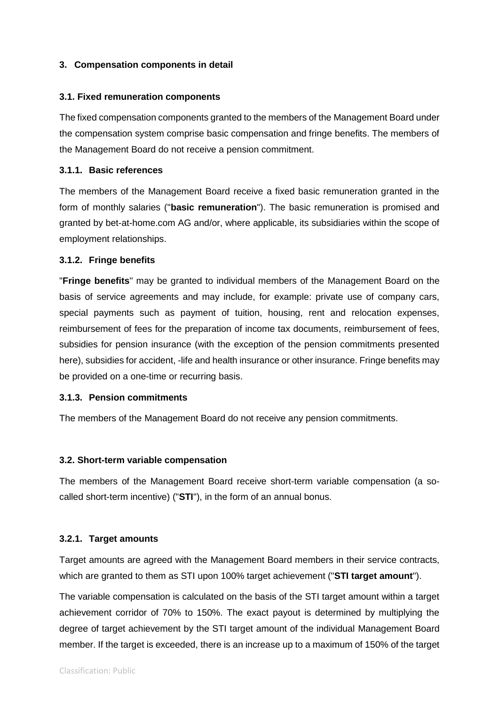## **3. Compensation components in detail**

### **3.1. Fixed remuneration components**

The fixed compensation components granted to the members of the Management Board under the compensation system comprise basic compensation and fringe benefits. The members of the Management Board do not receive a pension commitment.

#### **3.1.1. Basic references**

The members of the Management Board receive a fixed basic remuneration granted in the form of monthly salaries ("**basic remuneration**"). The basic remuneration is promised and granted by bet-at-home.com AG and/or, where applicable, its subsidiaries within the scope of employment relationships.

#### **3.1.2. Fringe benefits**

"**Fringe benefits**" may be granted to individual members of the Management Board on the basis of service agreements and may include, for example: private use of company cars, special payments such as payment of tuition, housing, rent and relocation expenses, reimbursement of fees for the preparation of income tax documents, reimbursement of fees, subsidies for pension insurance (with the exception of the pension commitments presented here), subsidies for accident, -life and health insurance or other insurance. Fringe benefits may be provided on a one-time or recurring basis.

### **3.1.3. Pension commitments**

The members of the Management Board do not receive any pension commitments.

### **3.2. Short-term variable compensation**

The members of the Management Board receive short-term variable compensation (a socalled short-term incentive) ("**STI**"), in the form of an annual bonus.

### **3.2.1. Target amounts**

Target amounts are agreed with the Management Board members in their service contracts, which are granted to them as STI upon 100% target achievement ("**STI target amount**").

The variable compensation is calculated on the basis of the STI target amount within a target achievement corridor of 70% to 150%. The exact payout is determined by multiplying the degree of target achievement by the STI target amount of the individual Management Board member. If the target is exceeded, there is an increase up to a maximum of 150% of the target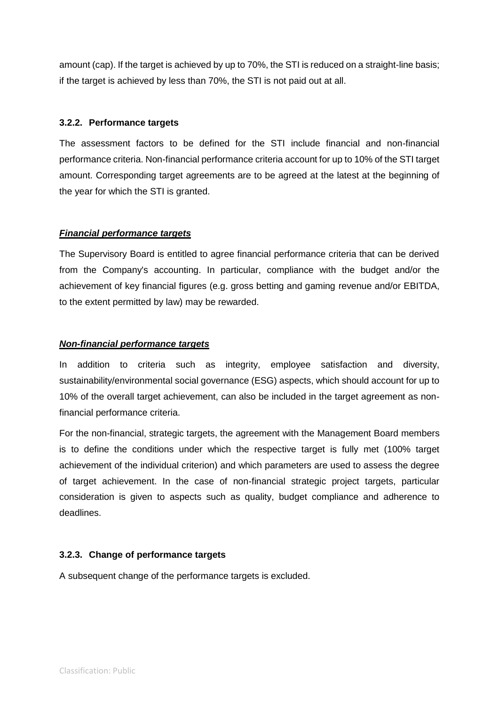amount (cap). If the target is achieved by up to 70%, the STI is reduced on a straight-line basis; if the target is achieved by less than 70%, the STI is not paid out at all.

## **3.2.2. Performance targets**

The assessment factors to be defined for the STI include financial and non-financial performance criteria. Non-financial performance criteria account for up to 10% of the STI target amount. Corresponding target agreements are to be agreed at the latest at the beginning of the year for which the STI is granted.

## *Financial performance targets*

The Supervisory Board is entitled to agree financial performance criteria that can be derived from the Company's accounting. In particular, compliance with the budget and/or the achievement of key financial figures (e.g. gross betting and gaming revenue and/or EBITDA, to the extent permitted by law) may be rewarded.

## *Non-financial performance targets*

In addition to criteria such as integrity, employee satisfaction and diversity, sustainability/environmental social governance (ESG) aspects, which should account for up to 10% of the overall target achievement, can also be included in the target agreement as nonfinancial performance criteria.

For the non-financial, strategic targets, the agreement with the Management Board members is to define the conditions under which the respective target is fully met (100% target achievement of the individual criterion) and which parameters are used to assess the degree of target achievement. In the case of non-financial strategic project targets, particular consideration is given to aspects such as quality, budget compliance and adherence to deadlines.

## **3.2.3. Change of performance targets**

A subsequent change of the performance targets is excluded.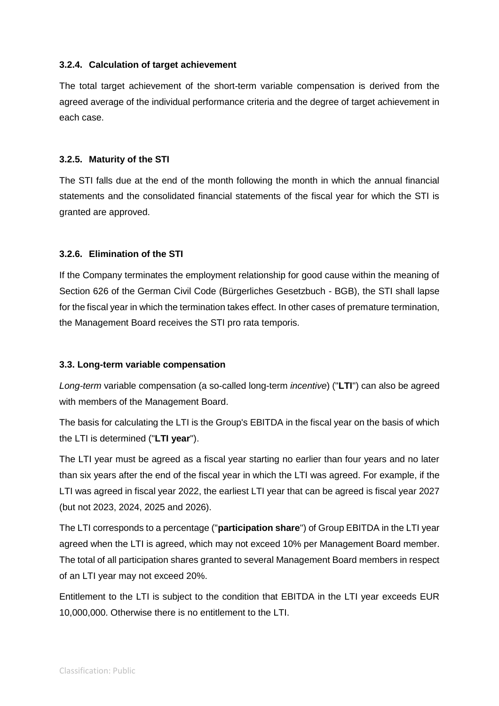## **3.2.4. Calculation of target achievement**

The total target achievement of the short-term variable compensation is derived from the agreed average of the individual performance criteria and the degree of target achievement in each case.

## **3.2.5. Maturity of the STI**

The STI falls due at the end of the month following the month in which the annual financial statements and the consolidated financial statements of the fiscal year for which the STI is granted are approved.

## **3.2.6. Elimination of the STI**

If the Company terminates the employment relationship for good cause within the meaning of Section 626 of the German Civil Code (Bürgerliches Gesetzbuch - BGB), the STI shall lapse for the fiscal year in which the termination takes effect. In other cases of premature termination, the Management Board receives the STI pro rata temporis.

## **3.3. Long-term variable compensation**

*Long-term* variable compensation (a so-called long-term *incentive*) ("**LTI**") can also be agreed with members of the Management Board.

The basis for calculating the LTI is the Group's EBITDA in the fiscal year on the basis of which the LTI is determined ("**LTI year**").

The LTI year must be agreed as a fiscal year starting no earlier than four years and no later than six years after the end of the fiscal year in which the LTI was agreed. For example, if the LTI was agreed in fiscal year 2022, the earliest LTI year that can be agreed is fiscal year 2027 (but not 2023, 2024, 2025 and 2026).

The LTI corresponds to a percentage ("**participation share**") of Group EBITDA in the LTI year agreed when the LTI is agreed, which may not exceed 10% per Management Board member. The total of all participation shares granted to several Management Board members in respect of an LTI year may not exceed 20%.

Entitlement to the LTI is subject to the condition that EBITDA in the LTI year exceeds EUR 10,000,000. Otherwise there is no entitlement to the LTI.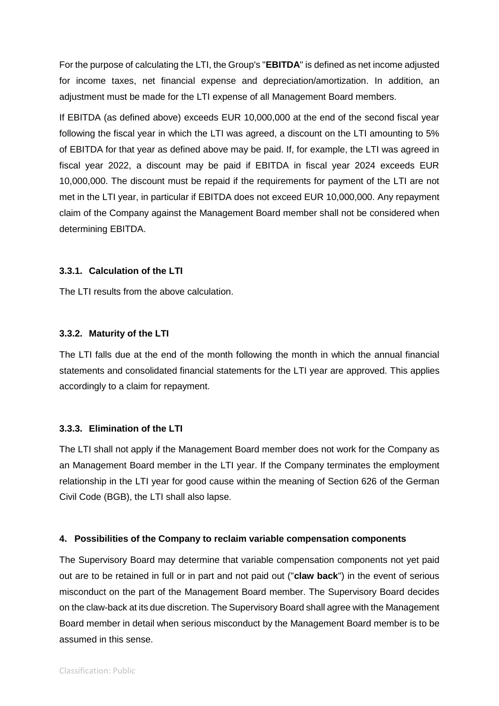For the purpose of calculating the LTI, the Group's "**EBITDA**" is defined as net income adjusted for income taxes, net financial expense and depreciation/amortization. In addition, an adjustment must be made for the LTI expense of all Management Board members.

If EBITDA (as defined above) exceeds EUR 10,000,000 at the end of the second fiscal year following the fiscal year in which the LTI was agreed, a discount on the LTI amounting to 5% of EBITDA for that year as defined above may be paid. If, for example, the LTI was agreed in fiscal year 2022, a discount may be paid if EBITDA in fiscal year 2024 exceeds EUR 10,000,000. The discount must be repaid if the requirements for payment of the LTI are not met in the LTI year, in particular if EBITDA does not exceed EUR 10,000,000. Any repayment claim of the Company against the Management Board member shall not be considered when determining EBITDA.

## **3.3.1. Calculation of the LTI**

The LTI results from the above calculation.

## **3.3.2. Maturity of the LTI**

The LTI falls due at the end of the month following the month in which the annual financial statements and consolidated financial statements for the LTI year are approved. This applies accordingly to a claim for repayment.

## **3.3.3. Elimination of the LTI**

The LTI shall not apply if the Management Board member does not work for the Company as an Management Board member in the LTI year. If the Company terminates the employment relationship in the LTI year for good cause within the meaning of Section 626 of the German Civil Code (BGB), the LTI shall also lapse.

## **4. Possibilities of the Company to reclaim variable compensation components**

The Supervisory Board may determine that variable compensation components not yet paid out are to be retained in full or in part and not paid out ("**claw back**") in the event of serious misconduct on the part of the Management Board member. The Supervisory Board decides on the claw-back at its due discretion. The Supervisory Board shall agree with the Management Board member in detail when serious misconduct by the Management Board member is to be assumed in this sense.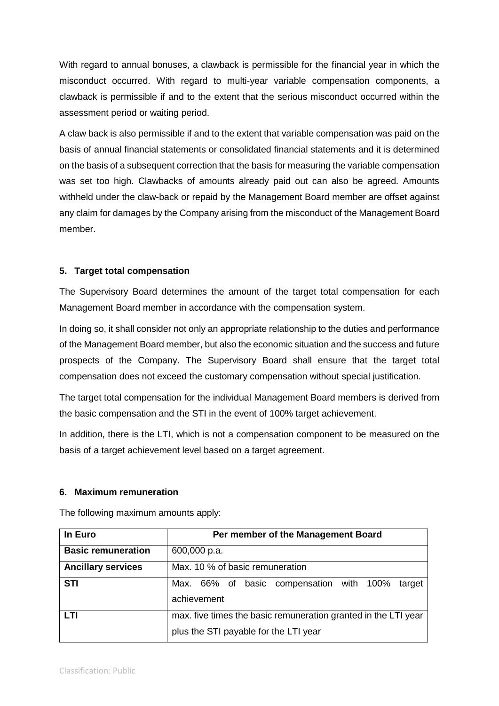With regard to annual bonuses, a clawback is permissible for the financial year in which the misconduct occurred. With regard to multi-year variable compensation components, a clawback is permissible if and to the extent that the serious misconduct occurred within the assessment period or waiting period.

A claw back is also permissible if and to the extent that variable compensation was paid on the basis of annual financial statements or consolidated financial statements and it is determined on the basis of a subsequent correction that the basis for measuring the variable compensation was set too high. Clawbacks of amounts already paid out can also be agreed. Amounts withheld under the claw-back or repaid by the Management Board member are offset against any claim for damages by the Company arising from the misconduct of the Management Board member.

## **5. Target total compensation**

The Supervisory Board determines the amount of the target total compensation for each Management Board member in accordance with the compensation system.

In doing so, it shall consider not only an appropriate relationship to the duties and performance of the Management Board member, but also the economic situation and the success and future prospects of the Company. The Supervisory Board shall ensure that the target total compensation does not exceed the customary compensation without special justification.

The target total compensation for the individual Management Board members is derived from the basic compensation and the STI in the event of 100% target achievement.

In addition, there is the LTI, which is not a compensation component to be measured on the basis of a target achievement level based on a target agreement.

### **6. Maximum remuneration**

| In Euro                   | Per member of the Management Board                             |  |  |  |  |  |  |  |
|---------------------------|----------------------------------------------------------------|--|--|--|--|--|--|--|
| <b>Basic remuneration</b> | 600,000 p.a.                                                   |  |  |  |  |  |  |  |
| <b>Ancillary services</b> | Max. 10 % of basic remuneration                                |  |  |  |  |  |  |  |
| <b>STI</b>                | Max. 66% of basic compensation with 100%<br>target             |  |  |  |  |  |  |  |
|                           | achievement                                                    |  |  |  |  |  |  |  |
| LTI                       | max. five times the basic remuneration granted in the LTI year |  |  |  |  |  |  |  |
|                           | plus the STI payable for the LTI year                          |  |  |  |  |  |  |  |

The following maximum amounts apply: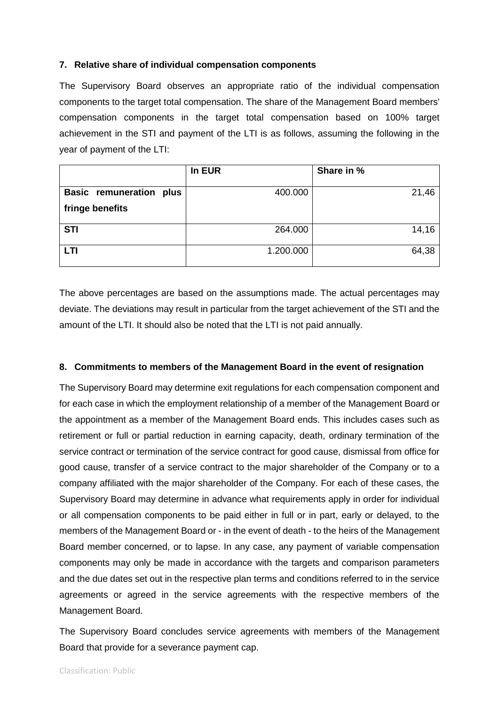### **7. Relative share of individual compensation components**

The Supervisory Board observes an appropriate ratio of the individual compensation components to the target total compensation. The share of the Management Board members' compensation components in the target total compensation based on 100% target achievement in the STI and payment of the LTI is as follows, assuming the following in the year of payment of the LTI:

|                                | In EUR    | Share in % |
|--------------------------------|-----------|------------|
| <b>Basic remuneration plus</b> | 400.000   | 21,46      |
| fringe benefits                |           |            |
| <b>STI</b>                     | 264.000   | 14,16      |
| <b>LTI</b>                     | 1.200.000 | 64,38      |

The above percentages are based on the assumptions made. The actual percentages may deviate. The deviations may result in particular from the target achievement of the STI and the amount of the LTI. It should also be noted that the LTI is not paid annually.

#### **8. Commitments to members of the Management Board in the event of resignation**

The Supervisory Board may determine exit regulations for each compensation component and for each case in which the employment relationship of a member of the Management Board or the appointment as a member of the Management Board ends. This includes cases such as retirement or full or partial reduction in earning capacity, death, ordinary termination of the service contract or termination of the service contract for good cause, dismissal from office for good cause, transfer of a service contract to the major shareholder of the Company or to a company affiliated with the major shareholder of the Company. For each of these cases, the Supervisory Board may determine in advance what requirements apply in order for individual or all compensation components to be paid either in full or in part, early or delayed, to the members of the Management Board or - in the event of death - to the heirs of the Management Board member concerned, or to lapse. In any case, any payment of variable compensation components may only be made in accordance with the targets and comparison parameters and the due dates set out in the respective plan terms and conditions referred to in the service agreements or agreed in the service agreements with the respective members of the Management Board.

The Supervisory Board concludes service agreements with members of the Management Board that provide for a severance payment cap.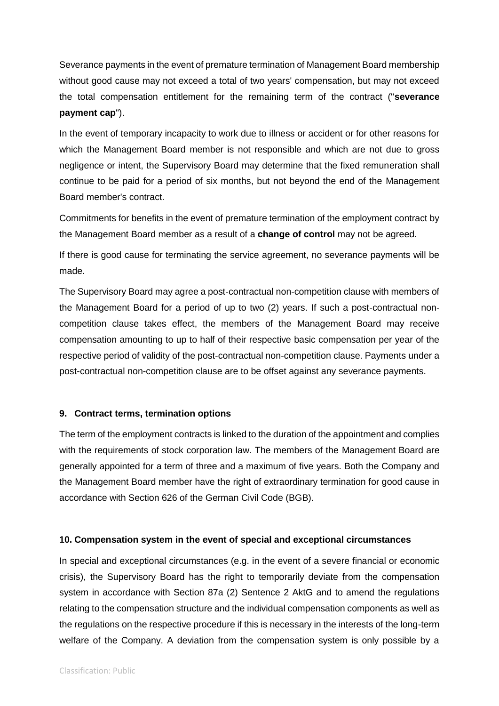Severance payments in the event of premature termination of Management Board membership without good cause may not exceed a total of two years' compensation, but may not exceed the total compensation entitlement for the remaining term of the contract ("**severance payment cap**").

In the event of temporary incapacity to work due to illness or accident or for other reasons for which the Management Board member is not responsible and which are not due to gross negligence or intent, the Supervisory Board may determine that the fixed remuneration shall continue to be paid for a period of six months, but not beyond the end of the Management Board member's contract.

Commitments for benefits in the event of premature termination of the employment contract by the Management Board member as a result of a **change of control** may not be agreed.

If there is good cause for terminating the service agreement, no severance payments will be made.

The Supervisory Board may agree a post-contractual non-competition clause with members of the Management Board for a period of up to two (2) years. If such a post-contractual noncompetition clause takes effect, the members of the Management Board may receive compensation amounting to up to half of their respective basic compensation per year of the respective period of validity of the post-contractual non-competition clause. Payments under a post-contractual non-competition clause are to be offset against any severance payments.

## **9. Contract terms, termination options**

The term of the employment contracts is linked to the duration of the appointment and complies with the requirements of stock corporation law. The members of the Management Board are generally appointed for a term of three and a maximum of five years. Both the Company and the Management Board member have the right of extraordinary termination for good cause in accordance with Section 626 of the German Civil Code (BGB).

## **10. Compensation system in the event of special and exceptional circumstances**

In special and exceptional circumstances (e.g. in the event of a severe financial or economic crisis), the Supervisory Board has the right to temporarily deviate from the compensation system in accordance with Section 87a (2) Sentence 2 AktG and to amend the regulations relating to the compensation structure and the individual compensation components as well as the regulations on the respective procedure if this is necessary in the interests of the long-term welfare of the Company. A deviation from the compensation system is only possible by a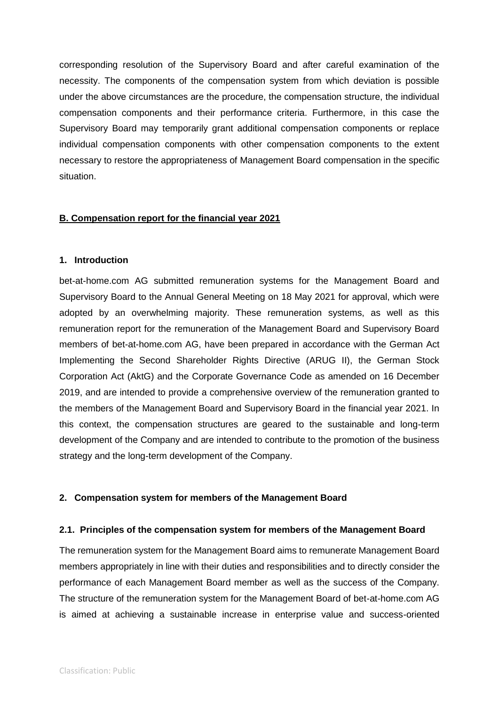corresponding resolution of the Supervisory Board and after careful examination of the necessity. The components of the compensation system from which deviation is possible under the above circumstances are the procedure, the compensation structure, the individual compensation components and their performance criteria. Furthermore, in this case the Supervisory Board may temporarily grant additional compensation components or replace individual compensation components with other compensation components to the extent necessary to restore the appropriateness of Management Board compensation in the specific situation.

### **B. Compensation report for the financial year 2021**

### **1. Introduction**

bet-at-home.com AG submitted remuneration systems for the Management Board and Supervisory Board to the Annual General Meeting on 18 May 2021 for approval, which were adopted by an overwhelming majority. These remuneration systems, as well as this remuneration report for the remuneration of the Management Board and Supervisory Board members of bet-at-home.com AG, have been prepared in accordance with the German Act Implementing the Second Shareholder Rights Directive (ARUG II), the German Stock Corporation Act (AktG) and the Corporate Governance Code as amended on 16 December 2019, and are intended to provide a comprehensive overview of the remuneration granted to the members of the Management Board and Supervisory Board in the financial year 2021. In this context, the compensation structures are geared to the sustainable and long-term development of the Company and are intended to contribute to the promotion of the business strategy and the long-term development of the Company.

### **2. Compensation system for members of the Management Board**

### **2.1. Principles of the compensation system for members of the Management Board**

The remuneration system for the Management Board aims to remunerate Management Board members appropriately in line with their duties and responsibilities and to directly consider the performance of each Management Board member as well as the success of the Company. The structure of the remuneration system for the Management Board of bet-at-home.com AG is aimed at achieving a sustainable increase in enterprise value and success-oriented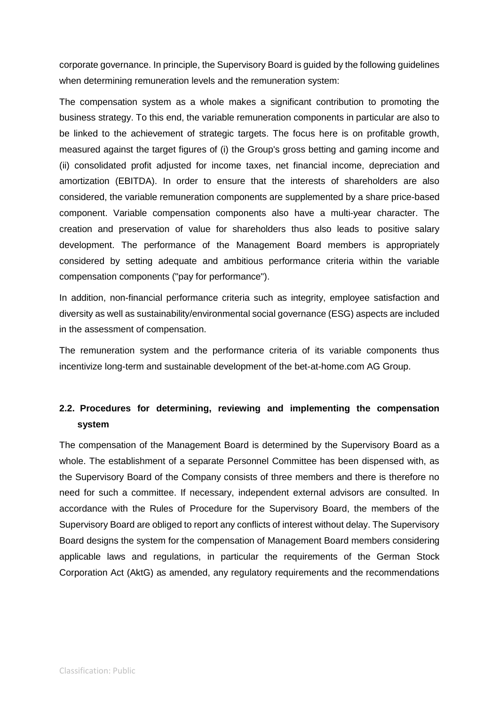corporate governance. In principle, the Supervisory Board is guided by the following guidelines when determining remuneration levels and the remuneration system:

The compensation system as a whole makes a significant contribution to promoting the business strategy. To this end, the variable remuneration components in particular are also to be linked to the achievement of strategic targets. The focus here is on profitable growth, measured against the target figures of (i) the Group's gross betting and gaming income and (ii) consolidated profit adjusted for income taxes, net financial income, depreciation and amortization (EBITDA). In order to ensure that the interests of shareholders are also considered, the variable remuneration components are supplemented by a share price-based component. Variable compensation components also have a multi-year character. The creation and preservation of value for shareholders thus also leads to positive salary development. The performance of the Management Board members is appropriately considered by setting adequate and ambitious performance criteria within the variable compensation components ("pay for performance").

In addition, non-financial performance criteria such as integrity, employee satisfaction and diversity as well as sustainability/environmental social governance (ESG) aspects are included in the assessment of compensation.

The remuneration system and the performance criteria of its variable components thus incentivize long-term and sustainable development of the bet-at-home.com AG Group.

## **2.2. Procedures for determining, reviewing and implementing the compensation system**

The compensation of the Management Board is determined by the Supervisory Board as a whole. The establishment of a separate Personnel Committee has been dispensed with, as the Supervisory Board of the Company consists of three members and there is therefore no need for such a committee. If necessary, independent external advisors are consulted. In accordance with the Rules of Procedure for the Supervisory Board, the members of the Supervisory Board are obliged to report any conflicts of interest without delay. The Supervisory Board designs the system for the compensation of Management Board members considering applicable laws and regulations, in particular the requirements of the German Stock Corporation Act (AktG) as amended, any regulatory requirements and the recommendations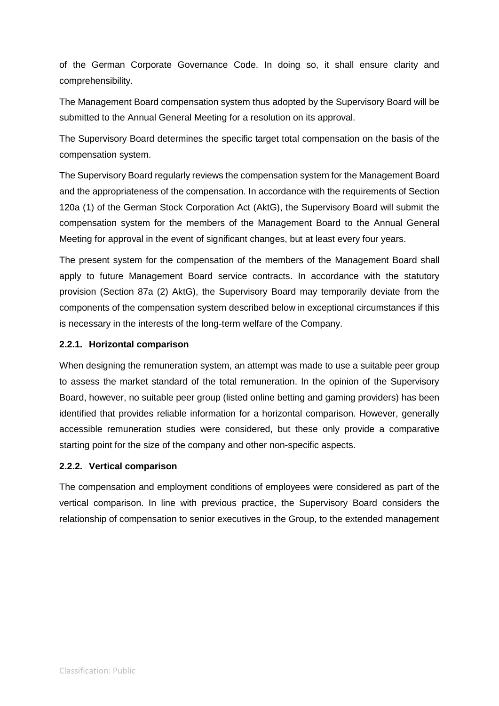of the German Corporate Governance Code. In doing so, it shall ensure clarity and comprehensibility.

The Management Board compensation system thus adopted by the Supervisory Board will be submitted to the Annual General Meeting for a resolution on its approval.

The Supervisory Board determines the specific target total compensation on the basis of the compensation system.

The Supervisory Board regularly reviews the compensation system for the Management Board and the appropriateness of the compensation. In accordance with the requirements of Section 120a (1) of the German Stock Corporation Act (AktG), the Supervisory Board will submit the compensation system for the members of the Management Board to the Annual General Meeting for approval in the event of significant changes, but at least every four years.

The present system for the compensation of the members of the Management Board shall apply to future Management Board service contracts. In accordance with the statutory provision (Section 87a (2) AktG), the Supervisory Board may temporarily deviate from the components of the compensation system described below in exceptional circumstances if this is necessary in the interests of the long-term welfare of the Company.

## **2.2.1. Horizontal comparison**

When designing the remuneration system, an attempt was made to use a suitable peer group to assess the market standard of the total remuneration. In the opinion of the Supervisory Board, however, no suitable peer group (listed online betting and gaming providers) has been identified that provides reliable information for a horizontal comparison. However, generally accessible remuneration studies were considered, but these only provide a comparative starting point for the size of the company and other non-specific aspects.

## **2.2.2. Vertical comparison**

The compensation and employment conditions of employees were considered as part of the vertical comparison. In line with previous practice, the Supervisory Board considers the relationship of compensation to senior executives in the Group, to the extended management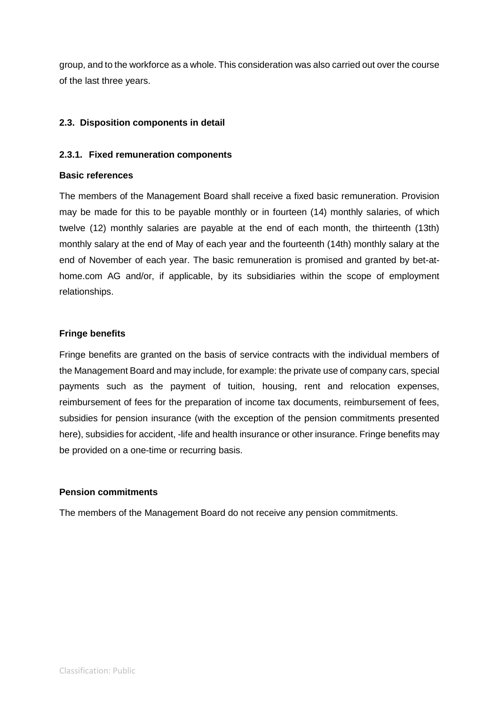group, and to the workforce as a whole. This consideration was also carried out over the course of the last three years.

## **2.3. Disposition components in detail**

## **2.3.1. Fixed remuneration components**

### **Basic references**

The members of the Management Board shall receive a fixed basic remuneration. Provision may be made for this to be payable monthly or in fourteen (14) monthly salaries, of which twelve (12) monthly salaries are payable at the end of each month, the thirteenth (13th) monthly salary at the end of May of each year and the fourteenth (14th) monthly salary at the end of November of each year. The basic remuneration is promised and granted by bet-athome.com AG and/or, if applicable, by its subsidiaries within the scope of employment relationships.

## **Fringe benefits**

Fringe benefits are granted on the basis of service contracts with the individual members of the Management Board and may include, for example: the private use of company cars, special payments such as the payment of tuition, housing, rent and relocation expenses, reimbursement of fees for the preparation of income tax documents, reimbursement of fees, subsidies for pension insurance (with the exception of the pension commitments presented here), subsidies for accident, -life and health insurance or other insurance. Fringe benefits may be provided on a one-time or recurring basis.

### **Pension commitments**

The members of the Management Board do not receive any pension commitments.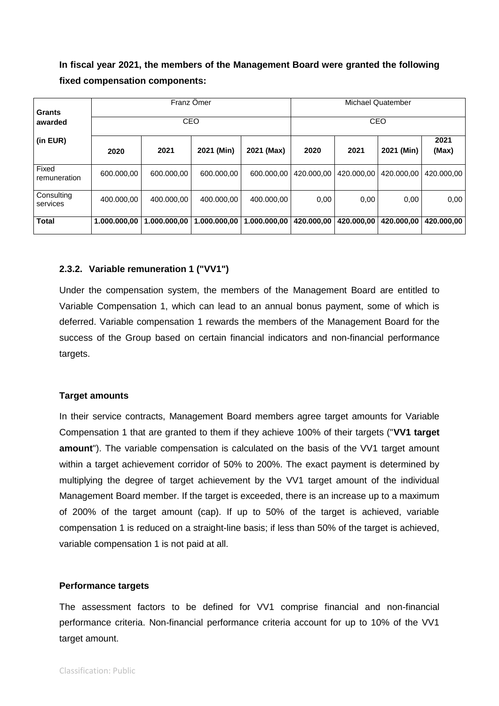**In fiscal year 2021, the members of the Management Board were granted the following fixed compensation components:**

| <b>Grants</b>          |              |              | Franz Omer   | Michael Quatember |            |               |            |            |
|------------------------|--------------|--------------|--------------|-------------------|------------|---------------|------------|------------|
| awarded                |              |              | CEO          |                   | CEO        |               |            |            |
| (in EUR)               | 2020         | 2021         | 2020         | 2021              | 2021 (Min) | 2021<br>(Max) |            |            |
| Fixed<br>remuneration  | 600.000,00   | 600.000,00   | 600.000,00   | 600.000,00        | 420.000,00 | 420.000,00    | 420.000,00 | 420.000,00 |
| Consulting<br>services | 400.000,00   | 400.000,00   | 400.000,00   | 400.000,00        | 0,00       | 0,00          | 0,00       | 0,00       |
| <b>Total</b>           | 1.000.000,00 | 1.000.000,00 | 1.000.000,00 | 1.000.000,00      | 420.000,00 | 420.000,00    | 420.000,00 | 420.000.00 |

#### **2.3.2. Variable remuneration 1 ("VV1")**

Under the compensation system, the members of the Management Board are entitled to Variable Compensation 1, which can lead to an annual bonus payment, some of which is deferred. Variable compensation 1 rewards the members of the Management Board for the success of the Group based on certain financial indicators and non-financial performance targets.

#### **Target amounts**

In their service contracts, Management Board members agree target amounts for Variable Compensation 1 that are granted to them if they achieve 100% of their targets ("**VV1 target amount**"). The variable compensation is calculated on the basis of the VV1 target amount within a target achievement corridor of 50% to 200%. The exact payment is determined by multiplying the degree of target achievement by the VV1 target amount of the individual Management Board member. If the target is exceeded, there is an increase up to a maximum of 200% of the target amount (cap). If up to 50% of the target is achieved, variable compensation 1 is reduced on a straight-line basis; if less than 50% of the target is achieved, variable compensation 1 is not paid at all.

#### **Performance targets**

The assessment factors to be defined for VV1 comprise financial and non-financial performance criteria. Non-financial performance criteria account for up to 10% of the VV1 target amount.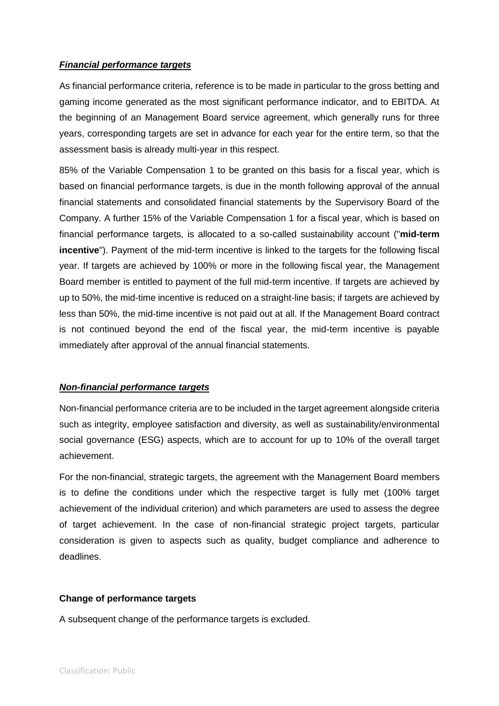## *Financial performance targets*

As financial performance criteria, reference is to be made in particular to the gross betting and gaming income generated as the most significant performance indicator, and to EBITDA. At the beginning of an Management Board service agreement, which generally runs for three years, corresponding targets are set in advance for each year for the entire term, so that the assessment basis is already multi-year in this respect.

85% of the Variable Compensation 1 to be granted on this basis for a fiscal year, which is based on financial performance targets, is due in the month following approval of the annual financial statements and consolidated financial statements by the Supervisory Board of the Company. A further 15% of the Variable Compensation 1 for a fiscal year, which is based on financial performance targets, is allocated to a so-called sustainability account ("**mid-term incentive**"). Payment of the mid-term incentive is linked to the targets for the following fiscal year. If targets are achieved by 100% or more in the following fiscal year, the Management Board member is entitled to payment of the full mid-term incentive. If targets are achieved by up to 50%, the mid-time incentive is reduced on a straight-line basis; if targets are achieved by less than 50%, the mid-time incentive is not paid out at all. If the Management Board contract is not continued beyond the end of the fiscal year, the mid-term incentive is payable immediately after approval of the annual financial statements.

## *Non-financial performance targets*

Non-financial performance criteria are to be included in the target agreement alongside criteria such as integrity, employee satisfaction and diversity, as well as sustainability/environmental social governance (ESG) aspects, which are to account for up to 10% of the overall target achievement.

For the non-financial, strategic targets, the agreement with the Management Board members is to define the conditions under which the respective target is fully met (100% target achievement of the individual criterion) and which parameters are used to assess the degree of target achievement. In the case of non-financial strategic project targets, particular consideration is given to aspects such as quality, budget compliance and adherence to deadlines.

## **Change of performance targets**

A subsequent change of the performance targets is excluded.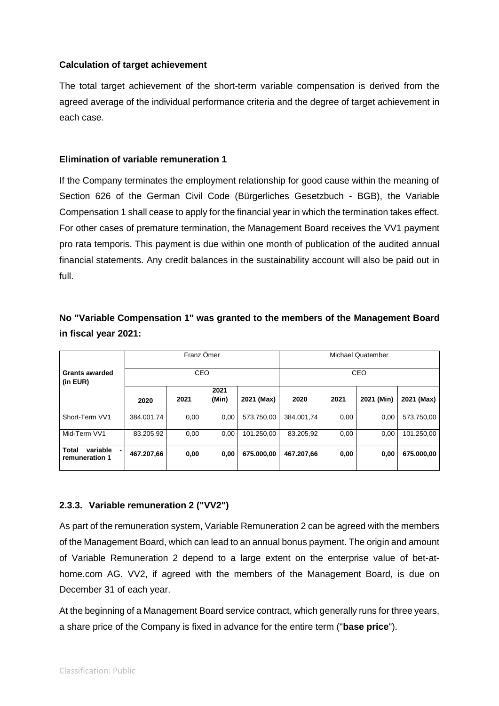## **Calculation of target achievement**

The total target achievement of the short-term variable compensation is derived from the agreed average of the individual performance criteria and the degree of target achievement in each case.

### **Elimination of variable remuneration 1**

If the Company terminates the employment relationship for good cause within the meaning of Section 626 of the German Civil Code (Bürgerliches Gesetzbuch - BGB), the Variable Compensation 1 shall cease to apply for the financial year in which the termination takes effect. For other cases of premature termination, the Management Board receives the VV1 payment pro rata temporis. This payment is due within one month of publication of the audited annual financial statements. Any credit balances in the sustainability account will also be paid out in full.

## **No "Variable Compensation 1" was granted to the members of the Management Board in fiscal year 2021:**

|                                                  |            | Franz Ömer |               |            | Michael Quatember |      |            |            |
|--------------------------------------------------|------------|------------|---------------|------------|-------------------|------|------------|------------|
| CEO<br><b>Grants awarded</b><br>(in EUR)         |            |            |               | CEO        |                   |      |            |            |
| 2021<br>2020                                     |            |            | 2021<br>(Min) | 2021 (Max) | 2020              | 2021 | 2021 (Min) | 2021 (Max) |
| Short-Term VV1                                   | 384.001.74 | 0,00       | 0.00          | 573.750.00 | 384.001.74        | 0,00 | 0,00       | 573.750,00 |
| Mid-Term VV1                                     | 83.205.92  | 0,00       | 0,00          | 101.250.00 | 83.205.92         | 0,00 | 0,00       | 101.250,00 |
| <b>Total</b><br>variable<br>۰.<br>remuneration 1 | 467.207,66 | 0,00       | 0,00          | 675.000.00 | 467.207.66        | 0,00 | 0,00       | 675.000,00 |

## **2.3.3. Variable remuneration 2 ("VV2")**

As part of the remuneration system, Variable Remuneration 2 can be agreed with the members of the Management Board, which can lead to an annual bonus payment. The origin and amount of Variable Remuneration 2 depend to a large extent on the enterprise value of bet-athome.com AG. VV2, if agreed with the members of the Management Board, is due on December 31 of each year.

At the beginning of a Management Board service contract, which generally runs for three years, a share price of the Company is fixed in advance for the entire term ("**base price**").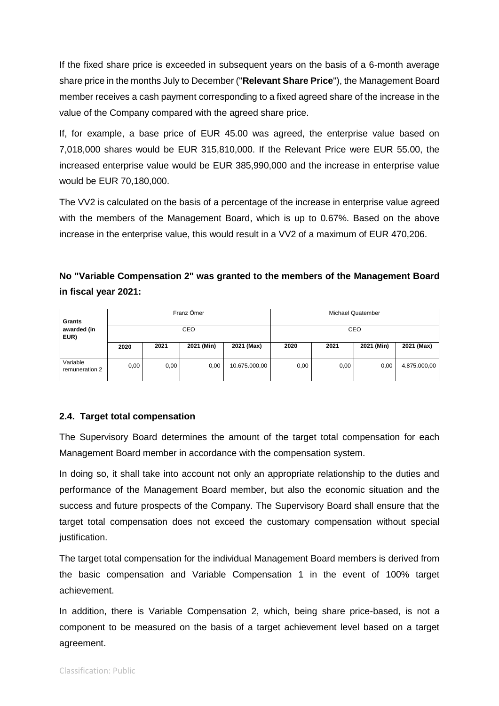If the fixed share price is exceeded in subsequent years on the basis of a 6-month average share price in the months July to December ("**Relevant Share Price**"), the Management Board member receives a cash payment corresponding to a fixed agreed share of the increase in the value of the Company compared with the agreed share price.

If, for example, a base price of EUR 45.00 was agreed, the enterprise value based on 7,018,000 shares would be EUR 315,810,000. If the Relevant Price were EUR 55.00, the increased enterprise value would be EUR 385,990,000 and the increase in enterprise value would be EUR 70,180,000.

The VV2 is calculated on the basis of a percentage of the increase in enterprise value agreed with the members of the Management Board, which is up to 0.67%. Based on the above increase in the enterprise value, this would result in a VV2 of a maximum of EUR 470,206.

## **No "Variable Compensation 2" was granted to the members of the Management Board in fiscal year 2021:**

| Franz Omer<br>Grants       |      |      |            |               | Michael Quatember |      |            |              |
|----------------------------|------|------|------------|---------------|-------------------|------|------------|--------------|
| awarded (in<br>EUR)        | CEO  |      |            |               | CEO               |      |            |              |
|                            | 2020 | 2021 | 2021 (Min) | 2021 (Max)    | 2020              | 2021 | 2021 (Min) | 2021 (Max)   |
| Variable<br>remuneration 2 | 0,00 | 0,00 | 0,00       | 10.675.000,00 | 0,00              | 0.00 | 0,00       | 4.875.000,00 |

## **2.4. Target total compensation**

The Supervisory Board determines the amount of the target total compensation for each Management Board member in accordance with the compensation system.

In doing so, it shall take into account not only an appropriate relationship to the duties and performance of the Management Board member, but also the economic situation and the success and future prospects of the Company. The Supervisory Board shall ensure that the target total compensation does not exceed the customary compensation without special justification.

The target total compensation for the individual Management Board members is derived from the basic compensation and Variable Compensation 1 in the event of 100% target achievement.

In addition, there is Variable Compensation 2, which, being share price-based, is not a component to be measured on the basis of a target achievement level based on a target agreement.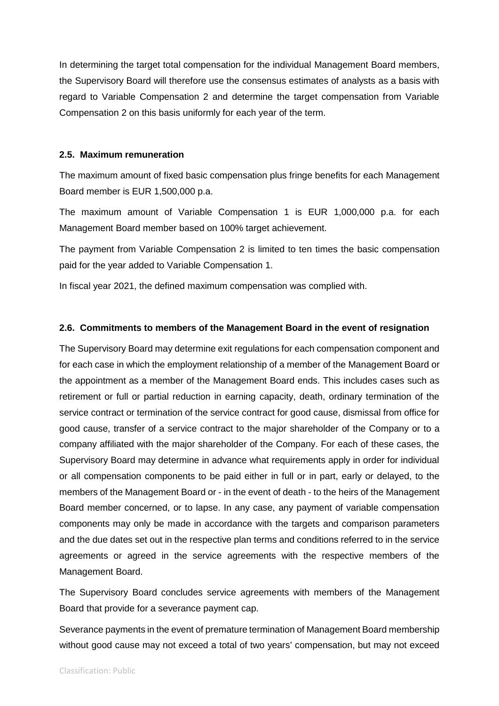In determining the target total compensation for the individual Management Board members, the Supervisory Board will therefore use the consensus estimates of analysts as a basis with regard to Variable Compensation 2 and determine the target compensation from Variable Compensation 2 on this basis uniformly for each year of the term.

#### **2.5. Maximum remuneration**

The maximum amount of fixed basic compensation plus fringe benefits for each Management Board member is EUR 1,500,000 p.a.

The maximum amount of Variable Compensation 1 is EUR 1,000,000 p.a. for each Management Board member based on 100% target achievement.

The payment from Variable Compensation 2 is limited to ten times the basic compensation paid for the year added to Variable Compensation 1.

In fiscal year 2021, the defined maximum compensation was complied with.

#### **2.6. Commitments to members of the Management Board in the event of resignation**

The Supervisory Board may determine exit regulations for each compensation component and for each case in which the employment relationship of a member of the Management Board or the appointment as a member of the Management Board ends. This includes cases such as retirement or full or partial reduction in earning capacity, death, ordinary termination of the service contract or termination of the service contract for good cause, dismissal from office for good cause, transfer of a service contract to the major shareholder of the Company or to a company affiliated with the major shareholder of the Company. For each of these cases, the Supervisory Board may determine in advance what requirements apply in order for individual or all compensation components to be paid either in full or in part, early or delayed, to the members of the Management Board or - in the event of death - to the heirs of the Management Board member concerned, or to lapse. In any case, any payment of variable compensation components may only be made in accordance with the targets and comparison parameters and the due dates set out in the respective plan terms and conditions referred to in the service agreements or agreed in the service agreements with the respective members of the Management Board.

The Supervisory Board concludes service agreements with members of the Management Board that provide for a severance payment cap.

Severance payments in the event of premature termination of Management Board membership without good cause may not exceed a total of two years' compensation, but may not exceed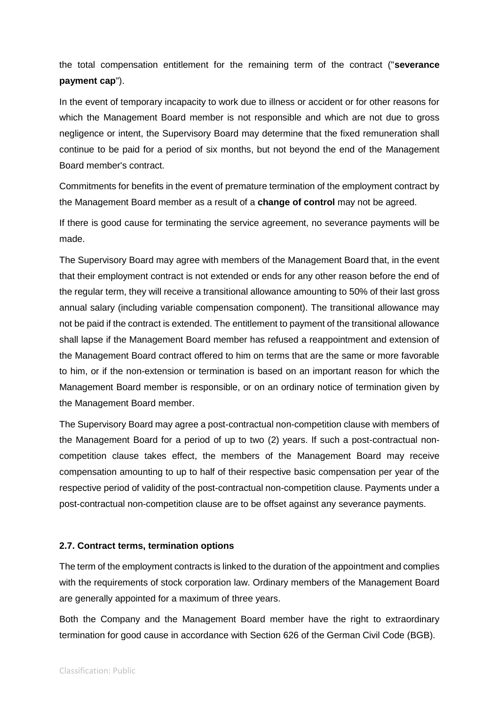the total compensation entitlement for the remaining term of the contract ("**severance payment cap**").

In the event of temporary incapacity to work due to illness or accident or for other reasons for which the Management Board member is not responsible and which are not due to gross negligence or intent, the Supervisory Board may determine that the fixed remuneration shall continue to be paid for a period of six months, but not beyond the end of the Management Board member's contract.

Commitments for benefits in the event of premature termination of the employment contract by the Management Board member as a result of a **change of control** may not be agreed.

If there is good cause for terminating the service agreement, no severance payments will be made.

The Supervisory Board may agree with members of the Management Board that, in the event that their employment contract is not extended or ends for any other reason before the end of the regular term, they will receive a transitional allowance amounting to 50% of their last gross annual salary (including variable compensation component). The transitional allowance may not be paid if the contract is extended. The entitlement to payment of the transitional allowance shall lapse if the Management Board member has refused a reappointment and extension of the Management Board contract offered to him on terms that are the same or more favorable to him, or if the non-extension or termination is based on an important reason for which the Management Board member is responsible, or on an ordinary notice of termination given by the Management Board member.

The Supervisory Board may agree a post-contractual non-competition clause with members of the Management Board for a period of up to two (2) years. If such a post-contractual noncompetition clause takes effect, the members of the Management Board may receive compensation amounting to up to half of their respective basic compensation per year of the respective period of validity of the post-contractual non-competition clause. Payments under a post-contractual non-competition clause are to be offset against any severance payments.

### **2.7. Contract terms, termination options**

The term of the employment contracts is linked to the duration of the appointment and complies with the requirements of stock corporation law. Ordinary members of the Management Board are generally appointed for a maximum of three years.

Both the Company and the Management Board member have the right to extraordinary termination for good cause in accordance with Section 626 of the German Civil Code (BGB).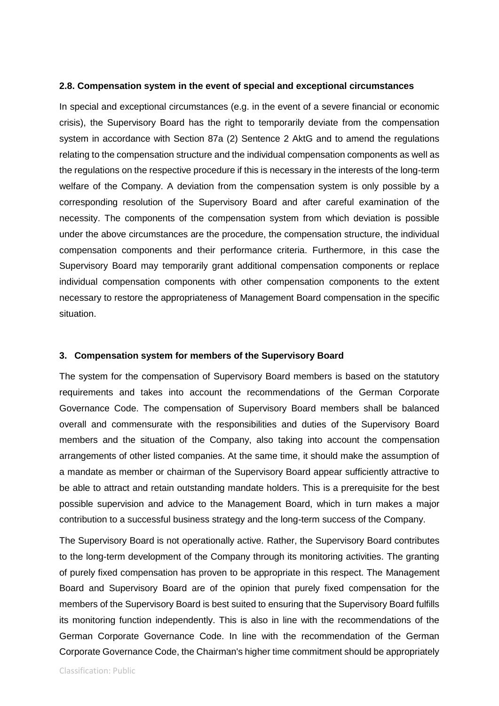#### **2.8. Compensation system in the event of special and exceptional circumstances**

In special and exceptional circumstances (e.g. in the event of a severe financial or economic crisis), the Supervisory Board has the right to temporarily deviate from the compensation system in accordance with Section 87a (2) Sentence 2 AktG and to amend the regulations relating to the compensation structure and the individual compensation components as well as the regulations on the respective procedure if this is necessary in the interests of the long-term welfare of the Company. A deviation from the compensation system is only possible by a corresponding resolution of the Supervisory Board and after careful examination of the necessity. The components of the compensation system from which deviation is possible under the above circumstances are the procedure, the compensation structure, the individual compensation components and their performance criteria. Furthermore, in this case the Supervisory Board may temporarily grant additional compensation components or replace individual compensation components with other compensation components to the extent necessary to restore the appropriateness of Management Board compensation in the specific situation.

### **3. Compensation system for members of the Supervisory Board**

The system for the compensation of Supervisory Board members is based on the statutory requirements and takes into account the recommendations of the German Corporate Governance Code. The compensation of Supervisory Board members shall be balanced overall and commensurate with the responsibilities and duties of the Supervisory Board members and the situation of the Company, also taking into account the compensation arrangements of other listed companies. At the same time, it should make the assumption of a mandate as member or chairman of the Supervisory Board appear sufficiently attractive to be able to attract and retain outstanding mandate holders. This is a prerequisite for the best possible supervision and advice to the Management Board, which in turn makes a major contribution to a successful business strategy and the long-term success of the Company.

The Supervisory Board is not operationally active. Rather, the Supervisory Board contributes to the long-term development of the Company through its monitoring activities. The granting of purely fixed compensation has proven to be appropriate in this respect. The Management Board and Supervisory Board are of the opinion that purely fixed compensation for the members of the Supervisory Board is best suited to ensuring that the Supervisory Board fulfills its monitoring function independently. This is also in line with the recommendations of the German Corporate Governance Code. In line with the recommendation of the German Corporate Governance Code, the Chairman's higher time commitment should be appropriately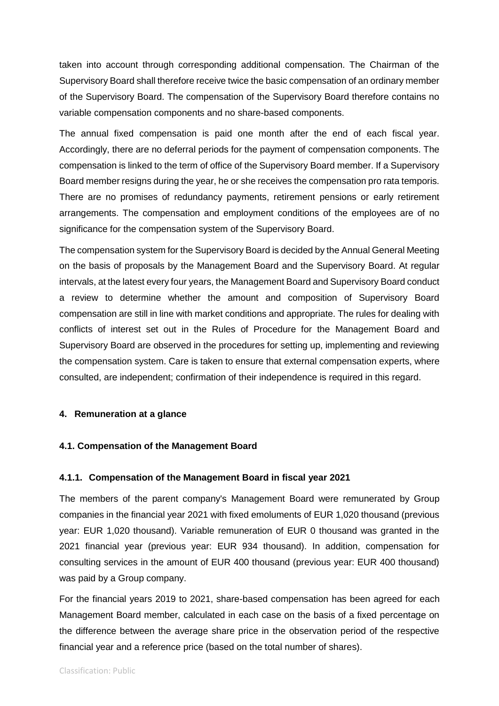taken into account through corresponding additional compensation. The Chairman of the Supervisory Board shall therefore receive twice the basic compensation of an ordinary member of the Supervisory Board. The compensation of the Supervisory Board therefore contains no variable compensation components and no share-based components.

The annual fixed compensation is paid one month after the end of each fiscal year. Accordingly, there are no deferral periods for the payment of compensation components. The compensation is linked to the term of office of the Supervisory Board member. If a Supervisory Board member resigns during the year, he or she receives the compensation pro rata temporis. There are no promises of redundancy payments, retirement pensions or early retirement arrangements. The compensation and employment conditions of the employees are of no significance for the compensation system of the Supervisory Board.

The compensation system for the Supervisory Board is decided by the Annual General Meeting on the basis of proposals by the Management Board and the Supervisory Board. At regular intervals, at the latest every four years, the Management Board and Supervisory Board conduct a review to determine whether the amount and composition of Supervisory Board compensation are still in line with market conditions and appropriate. The rules for dealing with conflicts of interest set out in the Rules of Procedure for the Management Board and Supervisory Board are observed in the procedures for setting up, implementing and reviewing the compensation system. Care is taken to ensure that external compensation experts, where consulted, are independent; confirmation of their independence is required in this regard.

### **4. Remuneration at a glance**

### **4.1. Compensation of the Management Board**

### **4.1.1. Compensation of the Management Board in fiscal year 2021**

The members of the parent company's Management Board were remunerated by Group companies in the financial year 2021 with fixed emoluments of EUR 1,020 thousand (previous year: EUR 1,020 thousand). Variable remuneration of EUR 0 thousand was granted in the 2021 financial year (previous year: EUR 934 thousand). In addition, compensation for consulting services in the amount of EUR 400 thousand (previous year: EUR 400 thousand) was paid by a Group company.

For the financial years 2019 to 2021, share-based compensation has been agreed for each Management Board member, calculated in each case on the basis of a fixed percentage on the difference between the average share price in the observation period of the respective financial year and a reference price (based on the total number of shares).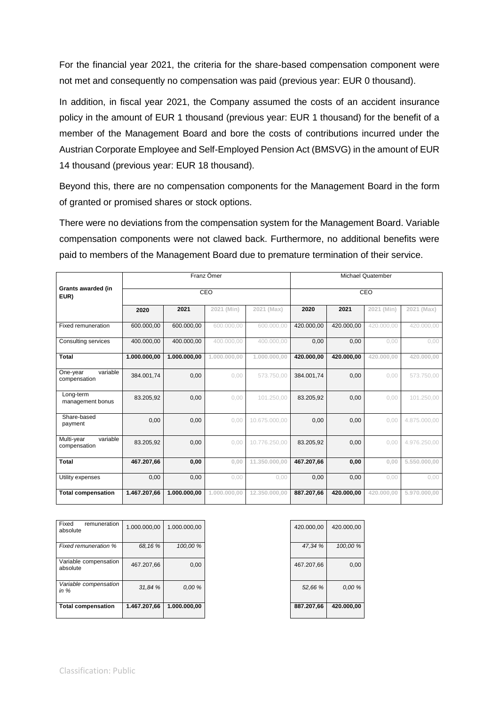For the financial year 2021, the criteria for the share-based compensation component were not met and consequently no compensation was paid (previous year: EUR 0 thousand).

In addition, in fiscal year 2021, the Company assumed the costs of an accident insurance policy in the amount of EUR 1 thousand (previous year: EUR 1 thousand) for the benefit of a member of the Management Board and bore the costs of contributions incurred under the Austrian Corporate Employee and Self-Employed Pension Act (BMSVG) in the amount of EUR 14 thousand (previous year: EUR 18 thousand).

Beyond this, there are no compensation components for the Management Board in the form of granted or promised shares or stock options.

There were no deviations from the compensation system for the Management Board. Variable compensation components were not clawed back. Furthermore, no additional benefits were paid to members of the Management Board due to premature termination of their service.

|                                        |              |              | Franz Ömer   |               | <b>Michael Quatember</b> |            |            |              |
|----------------------------------------|--------------|--------------|--------------|---------------|--------------------------|------------|------------|--------------|
| Grants awarded (in<br>EUR)             |              | CEO          | CEO          |               |                          |            |            |              |
|                                        | 2020         | 2021         | 2021 (Min)   | 2021 (Max)    | 2020                     | 2021       | 2021 (Min) | 2021 (Max)   |
| Fixed remuneration                     | 600.000.00   | 600.000.00   | 600.000.00   | 600.000.00    | 420.000.00               | 420.000.00 | 420.000.00 | 420.000.00   |
| Consulting services                    | 400.000,00   | 400.000,00   | 400.000,00   | 400.000.00    | 0,00                     | 0,00       | 0.00       | 0,00         |
| <b>Total</b>                           | 1.000.000,00 | 1.000.000,00 | 1.000.000.00 | 1.000.000.00  | 420.000.00               | 420.000.00 | 420,000,00 | 420,000,00   |
| variable<br>One-year<br>compensation   | 384.001,74   | 0,00         | 0.00         | 573.750,00    | 384.001.74               | 0,00       | 0.00       | 573.750,00   |
| Long-term<br>management bonus          | 83.205,92    | 0,00         | 0.00         | 101.250,00    | 83.205,92                | 0,00       | 0.00       | 101.250,00   |
| Share-based<br>payment                 | 0,00         | 0,00         | 0,00         | 10.675.000,00 | 0,00                     | 0,00       | 0,00       | 4.875.000,00 |
| Multi-year<br>variable<br>compensation | 83.205.92    | 0.00         | 0.00         | 10.776.250.00 | 83.205.92                | 0.00       | 0.00       | 4.976.250.00 |
| <b>Total</b>                           | 467.207,66   | 0,00         | 0.00         | 11.350.000.00 | 467.207,66               | 0.00       | 0.00       | 5.550.000,00 |
| Utility expenses                       | 0,00         | 0,00         | 0,00         | 0,00          | 0,00                     | 0,00       | 0,00       | 0,00         |
| <b>Total compensation</b>              | 1.467.207,66 | 1.000.000,00 | 1.000.000.00 | 12.350,000.00 | 887.207,66               | 420.000,00 | 420,000,00 | 5.970.000.00 |

| Fixed<br>remuneration<br>absolute | 1.000.000,00 | 1.000.000,00 |
|-----------------------------------|--------------|--------------|
| <b>Fixed remuneration %</b>       | 68.16 %      | 100,00 %     |
| Variable compensation<br>absolute | 467.207,66   | 0,00         |
| Variable compensation<br>in $%$   | 31.84 %      | 0.00 %       |
| <b>Total compensation</b>         | 1.467.207,66 | 1.000.000,00 |

| 420.000,00 | 420.000,00 |
|------------|------------|
| 47,34 %    | 100,00 %   |
| 467.207,66 | 0,00       |
| 52,66 %    | 0.00 %     |
| 887.207,66 | 420.000,00 |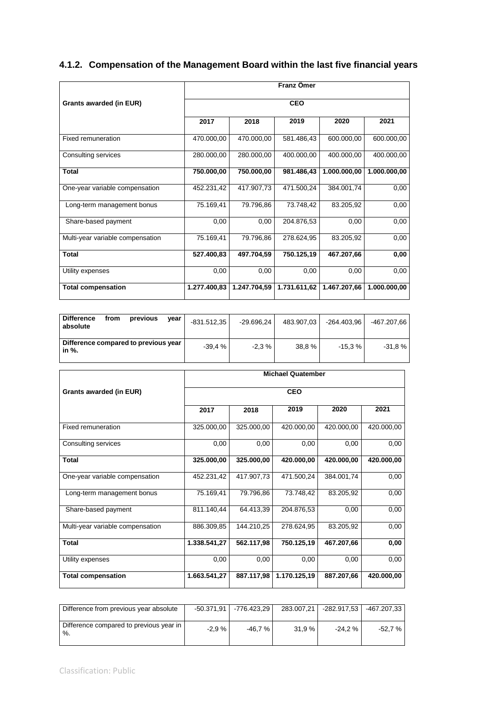## **4.1.2. Compensation of the Management Board within the last five financial years**

|                                  | Franz Ömer   |              |              |              |              |  |  |  |
|----------------------------------|--------------|--------------|--------------|--------------|--------------|--|--|--|
| Grants awarded (in EUR)          | <b>CEO</b>   |              |              |              |              |  |  |  |
|                                  | 2017         | 2018         | 2019         | 2020         | 2021         |  |  |  |
| Fixed remuneration               | 470.000,00   | 470.000,00   | 581.486,43   | 600.000,00   | 600.000,00   |  |  |  |
| Consulting services              | 280.000,00   | 280.000,00   | 400.000,00   | 400.000,00   | 400.000,00   |  |  |  |
| <b>Total</b>                     | 750.000,00   | 750.000,00   | 981.486,43   | 1.000.000,00 | 1.000.000,00 |  |  |  |
| One-year variable compensation   | 452.231,42   | 417.907,73   | 471.500,24   | 384.001,74   | 0,00         |  |  |  |
| Long-term management bonus       | 75.169,41    | 79.796,86    | 73.748,42    | 83.205,92    | 0,00         |  |  |  |
| Share-based payment              | 0,00         | 0,00         | 204.876,53   | 0,00         | 0,00         |  |  |  |
| Multi-year variable compensation | 75.169,41    | 79.796,86    | 278.624,95   | 83.205,92    | 0,00         |  |  |  |
| <b>Total</b>                     | 527.400,83   | 497.704,59   | 750.125,19   | 467.207,66   | 0,00         |  |  |  |
| Utility expenses                 | 0,00         | 0,00         | 0,00         | 0,00         | 0,00         |  |  |  |
| <b>Total compensation</b>        | 1.277.400,83 | 1.247.704.59 | 1.731.611,62 | 1.467.207,66 | 1.000.000.00 |  |  |  |

| <b>Difference</b><br>from<br>previous<br>absolute | year<br>$-831.512.35$ | -29.696.24 | 483.907.03 | $-264.403.96$ | -467.207,66 l |
|---------------------------------------------------|-----------------------|------------|------------|---------------|---------------|
| Difference compared to previous year<br>in %.     | $-39.4%$              | $-2.3%$    | 38,8%      | $-15.3\%$     | $-31.8%$      |

|                                  | <b>Michael Quatember</b><br><b>CEO</b> |            |              |            |            |  |  |
|----------------------------------|----------------------------------------|------------|--------------|------------|------------|--|--|
| Grants awarded (in EUR)          |                                        |            |              |            |            |  |  |
|                                  | 2017                                   | 2018       | 2019         | 2020       | 2021       |  |  |
| Fixed remuneration               | 325.000,00                             | 325.000,00 | 420.000,00   | 420.000,00 | 420.000,00 |  |  |
| Consulting services              | 0,00                                   | 0,00       | 0,00         | 0,00       | 0,00       |  |  |
| <b>Total</b>                     | 325.000,00                             | 325.000,00 | 420.000,00   | 420.000,00 | 420.000,00 |  |  |
| One-year variable compensation   | 452.231,42                             | 417.907,73 | 471.500,24   | 384.001,74 | 0,00       |  |  |
| Long-term management bonus       | 75.169,41                              | 79.796,86  | 73.748,42    | 83.205,92  | 0,00       |  |  |
| Share-based payment              | 811.140,44                             | 64.413,39  | 204.876,53   | 0,00       | 0,00       |  |  |
| Multi-year variable compensation | 886.309,85                             | 144.210,25 | 278.624,95   | 83.205,92  | 0,00       |  |  |
| <b>Total</b>                     | 1.338.541,27                           | 562.117,98 | 750.125,19   | 467.207,66 | 0,00       |  |  |
| Utility expenses                 | 0,00                                   | 0,00       | 0,00         | 0,00       | 0,00       |  |  |
| <b>Total compensation</b>        | 1.663.541,27                           | 887.117,98 | 1.170.125,19 | 887.207,66 | 420.000,00 |  |  |

| Difference from previous year absolute            | -50.371.91丨 | -776.423.29 | 283.007.21 | $-282.917.53$ | -467.207.33 |
|---------------------------------------------------|-------------|-------------|------------|---------------|-------------|
| Difference compared to previous year in<br>$\%$ . | $-2.9%$     | -46.7 %     | 31.9%      | $-24.2\%$     | -52.7 % I   |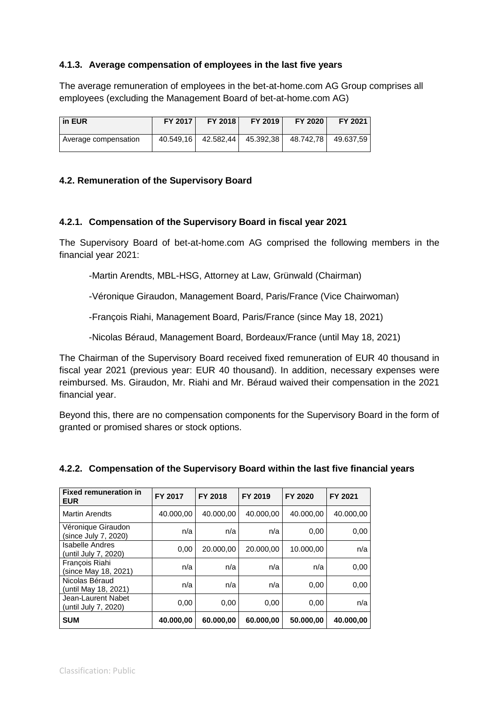## **4.1.3. Average compensation of employees in the last five years**

The average remuneration of employees in the bet-at-home.com AG Group comprises all employees (excluding the Management Board of bet-at-home.com AG)

| l in EUR             | FY 2017 | FY 2018               | FY 2019     | FY 2020   | FY 2021   |
|----------------------|---------|-----------------------|-------------|-----------|-----------|
| Average compensation |         | 40.549,16   42.582,44 | 45.392,38 I | 48.742.78 | 49.637.59 |

## **4.2. Remuneration of the Supervisory Board**

### **4.2.1. Compensation of the Supervisory Board in fiscal year 2021**

The Supervisory Board of bet-at-home.com AG comprised the following members in the financial year 2021:

-Martin Arendts, MBL-HSG, Attorney at Law, Grünwald (Chairman)

-Véronique Giraudon, Management Board, Paris/France (Vice Chairwoman)

-François Riahi, Management Board, Paris/France (since May 18, 2021)

-Nicolas Béraud, Management Board, Bordeaux/France (until May 18, 2021)

The Chairman of the Supervisory Board received fixed remuneration of EUR 40 thousand in fiscal year 2021 (previous year: EUR 40 thousand). In addition, necessary expenses were reimbursed. Ms. Giraudon, Mr. Riahi and Mr. Béraud waived their compensation in the 2021 financial year.

Beyond this, there are no compensation components for the Supervisory Board in the form of granted or promised shares or stock options.

| <b>Fixed remuneration in</b><br><b>EUR</b>     | FY 2017   | FY 2018   | FY 2019   | FY 2020   | FY 2021   |
|------------------------------------------------|-----------|-----------|-----------|-----------|-----------|
| <b>Martin Arendts</b>                          | 40.000,00 | 40.000,00 | 40.000,00 | 40.000,00 | 40.000,00 |
| Véronique Giraudon<br>(since July 7, 2020)     | n/a       | n/a       | n/a       | 0,00      | 0,00      |
| <b>Isabelle Andres</b><br>(until July 7, 2020) | 0,00      | 20.000,00 | 20.000,00 | 10.000,00 | n/a       |
| Francois Riahi<br>(since May 18, 2021)         | n/a       | n/a       | n/a       | n/a       | 0,00      |
| Nicolas Béraud<br>(until May 18, 2021)         | n/a       | n/a       | n/a       | 0,00      | 0,00      |
| Jean-Laurent Nabet<br>(until July 7, 2020)     | 0,00      | 0.00      | 0.00      | 0,00      | n/a       |
| <b>SUM</b>                                     | 40.000,00 | 60.000,00 | 60.000,00 | 50.000,00 | 40.000,00 |

## **4.2.2. Compensation of the Supervisory Board within the last five financial years**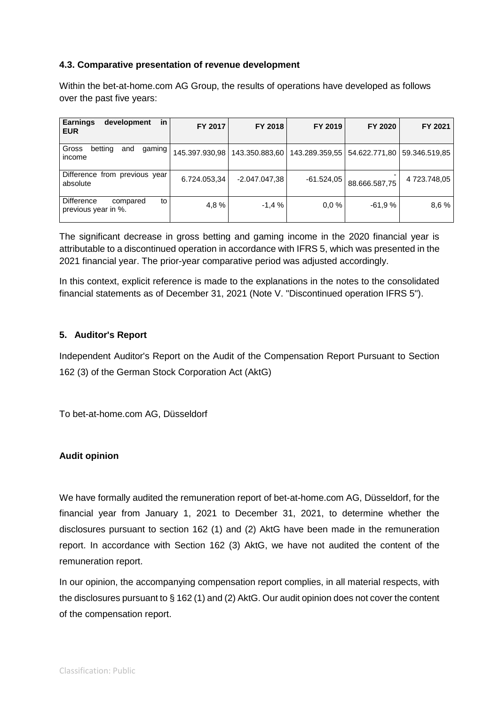## **4.3. Comparative presentation of revenue development**

Within the bet-at-home.com AG Group, the results of operations have developed as follows over the past five years:

| <b>Earnings</b><br>in<br>development<br><b>EUR</b>  | FY 2017        | FY 2018        | FY 2019        | FY 2020       | FY 2021       |
|-----------------------------------------------------|----------------|----------------|----------------|---------------|---------------|
| Gross<br>betting<br>and<br>gaming '<br>income       | 145.397.930,98 | 143.350.883,60 | 143.289.359,55 | 54.622.771,80 | 59.346.519,85 |
| Difference from previous year<br>absolute           | 6.724.053,34   | -2.047.047,38  | -61.524,05     | 88.666.587,75 | 4723.748,05   |
| Difference<br>to<br>compared<br>previous year in %. | 4.8%           | $-1.4%$        | $0.0\%$        | $-61.9%$      | 8,6 %         |

The significant decrease in gross betting and gaming income in the 2020 financial year is attributable to a discontinued operation in accordance with IFRS 5, which was presented in the 2021 financial year. The prior-year comparative period was adjusted accordingly.

In this context, explicit reference is made to the explanations in the notes to the consolidated financial statements as of December 31, 2021 (Note V. "Discontinued operation IFRS 5").

## **5. Auditor's Report**

Independent Auditor's Report on the Audit of the Compensation Report Pursuant to Section 162 (3) of the German Stock Corporation Act (AktG)

To bet-at-home.com AG, Düsseldorf

### **Audit opinion**

We have formally audited the remuneration report of bet-at-home.com AG, Düsseldorf, for the financial year from January 1, 2021 to December 31, 2021, to determine whether the disclosures pursuant to section 162 (1) and (2) AktG have been made in the remuneration report. In accordance with Section 162 (3) AktG, we have not audited the content of the remuneration report.

In our opinion, the accompanying compensation report complies, in all material respects, with the disclosures pursuant to § 162 (1) and (2) AktG. Our audit opinion does not cover the content of the compensation report.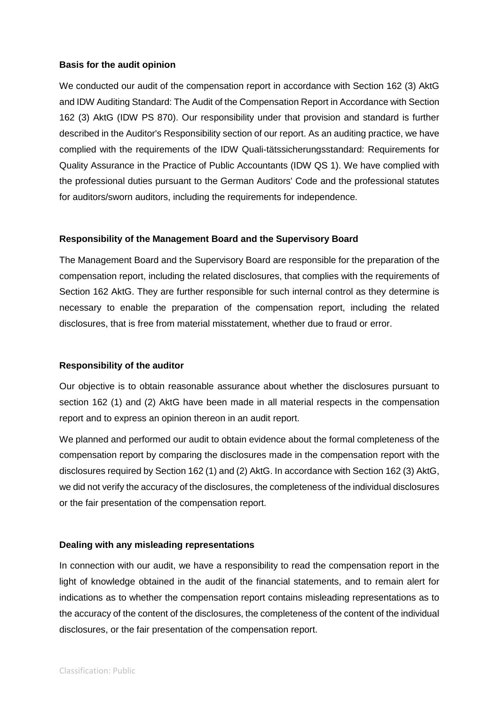#### **Basis for the audit opinion**

We conducted our audit of the compensation report in accordance with Section 162 (3) AktG and IDW Auditing Standard: The Audit of the Compensation Report in Accordance with Section 162 (3) AktG (IDW PS 870). Our responsibility under that provision and standard is further described in the Auditor's Responsibility section of our report. As an auditing practice, we have complied with the requirements of the IDW Quali-tätssicherungsstandard: Requirements for Quality Assurance in the Practice of Public Accountants (IDW QS 1). We have complied with the professional duties pursuant to the German Auditors' Code and the professional statutes for auditors/sworn auditors, including the requirements for independence.

### **Responsibility of the Management Board and the Supervisory Board**

The Management Board and the Supervisory Board are responsible for the preparation of the compensation report, including the related disclosures, that complies with the requirements of Section 162 AktG. They are further responsible for such internal control as they determine is necessary to enable the preparation of the compensation report, including the related disclosures, that is free from material misstatement, whether due to fraud or error.

#### **Responsibility of the auditor**

Our objective is to obtain reasonable assurance about whether the disclosures pursuant to section 162 (1) and (2) AktG have been made in all material respects in the compensation report and to express an opinion thereon in an audit report.

We planned and performed our audit to obtain evidence about the formal completeness of the compensation report by comparing the disclosures made in the compensation report with the disclosures required by Section 162 (1) and (2) AktG. In accordance with Section 162 (3) AktG, we did not verify the accuracy of the disclosures, the completeness of the individual disclosures or the fair presentation of the compensation report.

### **Dealing with any misleading representations**

In connection with our audit, we have a responsibility to read the compensation report in the light of knowledge obtained in the audit of the financial statements, and to remain alert for indications as to whether the compensation report contains misleading representations as to the accuracy of the content of the disclosures, the completeness of the content of the individual disclosures, or the fair presentation of the compensation report.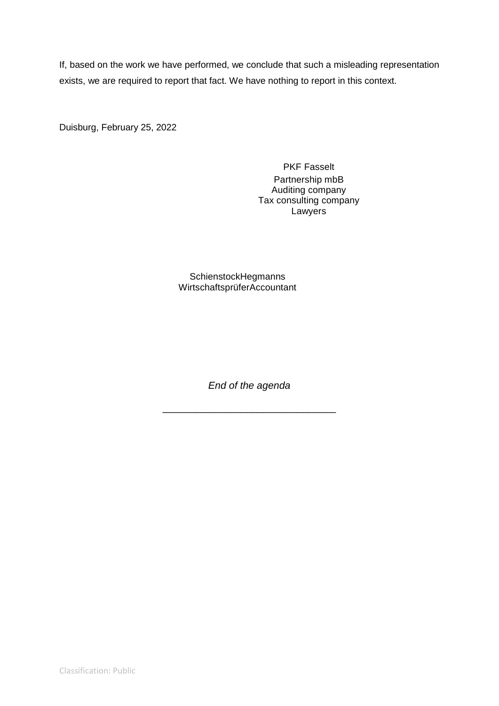If, based on the work we have performed, we conclude that such a misleading representation exists, we are required to report that fact. We have nothing to report in this context.

Duisburg, February 25, 2022

PKF Fasselt Partnership mbB Auditing company Tax consulting company **Lawyers** 

SchienstockHegmanns WirtschaftsprüferAccountant

*End of the agenda*

\_\_\_\_\_\_\_\_\_\_\_\_\_\_\_\_\_\_\_\_\_\_\_\_\_\_\_\_\_\_\_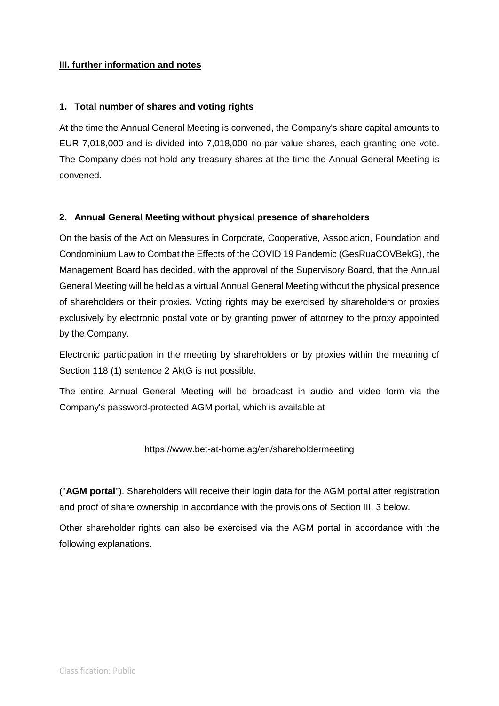## **III. further information and notes**

## **1. Total number of shares and voting rights**

At the time the Annual General Meeting is convened, the Company's share capital amounts to EUR 7,018,000 and is divided into 7,018,000 no-par value shares, each granting one vote. The Company does not hold any treasury shares at the time the Annual General Meeting is convened.

## **2. Annual General Meeting without physical presence of shareholders**

On the basis of the Act on Measures in Corporate, Cooperative, Association, Foundation and Condominium Law to Combat the Effects of the COVID 19 Pandemic (GesRuaCOVBekG), the Management Board has decided, with the approval of the Supervisory Board, that the Annual General Meeting will be held as a virtual Annual General Meeting without the physical presence of shareholders or their proxies. Voting rights may be exercised by shareholders or proxies exclusively by electronic postal vote or by granting power of attorney to the proxy appointed by the Company.

Electronic participation in the meeting by shareholders or by proxies within the meaning of Section 118 (1) sentence 2 AktG is not possible.

The entire Annual General Meeting will be broadcast in audio and video form via the Company's password-protected AGM portal, which is available at

### https://www.bet-at-home.ag/en/shareholdermeeting

("**AGM portal**"). Shareholders will receive their login data for the AGM portal after registration and proof of share ownership in accordance with the provisions of Section III. 3 below.

Other shareholder rights can also be exercised via the AGM portal in accordance with the following explanations.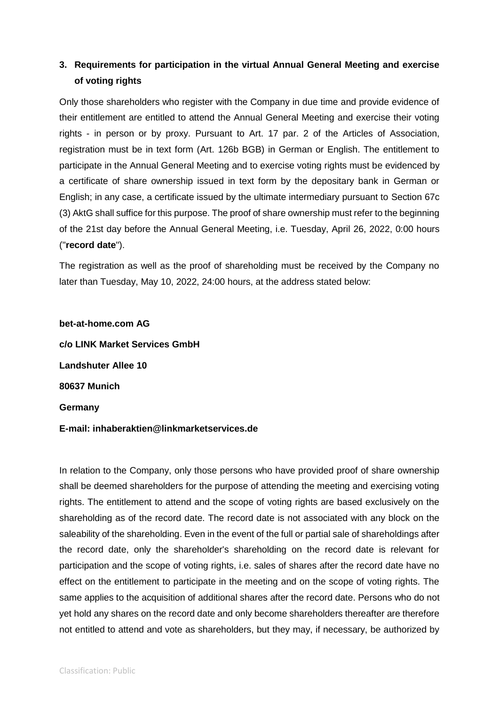## **3. Requirements for participation in the virtual Annual General Meeting and exercise of voting rights**

Only those shareholders who register with the Company in due time and provide evidence of their entitlement are entitled to attend the Annual General Meeting and exercise their voting rights - in person or by proxy. Pursuant to Art. 17 par. 2 of the Articles of Association, registration must be in text form (Art. 126b BGB) in German or English. The entitlement to participate in the Annual General Meeting and to exercise voting rights must be evidenced by a certificate of share ownership issued in text form by the depositary bank in German or English; in any case, a certificate issued by the ultimate intermediary pursuant to Section 67c (3) AktG shall suffice for this purpose. The proof of share ownership must refer to the beginning of the 21st day before the Annual General Meeting, i.e. Tuesday, April 26, 2022, 0:00 hours ("**record date**").

The registration as well as the proof of shareholding must be received by the Company no later than Tuesday, May 10, 2022, 24:00 hours, at the address stated below:

**bet-at-home.com AG c/o LINK Market Services GmbH Landshuter Allee 10 80637 Munich Germany**

### **E-mail: inhaberaktien@linkmarketservices.de**

In relation to the Company, only those persons who have provided proof of share ownership shall be deemed shareholders for the purpose of attending the meeting and exercising voting rights. The entitlement to attend and the scope of voting rights are based exclusively on the shareholding as of the record date. The record date is not associated with any block on the saleability of the shareholding. Even in the event of the full or partial sale of shareholdings after the record date, only the shareholder's shareholding on the record date is relevant for participation and the scope of voting rights, i.e. sales of shares after the record date have no effect on the entitlement to participate in the meeting and on the scope of voting rights. The same applies to the acquisition of additional shares after the record date. Persons who do not yet hold any shares on the record date and only become shareholders thereafter are therefore not entitled to attend and vote as shareholders, but they may, if necessary, be authorized by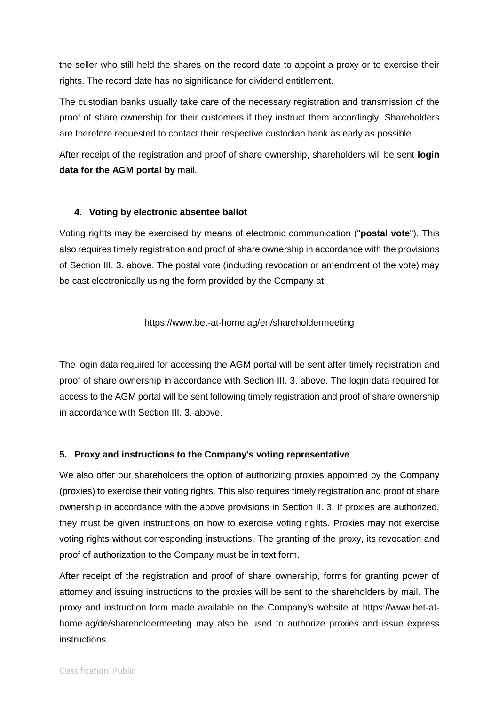the seller who still held the shares on the record date to appoint a proxy or to exercise their rights. The record date has no significance for dividend entitlement.

The custodian banks usually take care of the necessary registration and transmission of the proof of share ownership for their customers if they instruct them accordingly. Shareholders are therefore requested to contact their respective custodian bank as early as possible.

After receipt of the registration and proof of share ownership, shareholders will be sent **login data for the AGM portal by** mail.

## **4. Voting by electronic absentee ballot**

Voting rights may be exercised by means of electronic communication ("**postal vote**"). This also requires timely registration and proof of share ownership in accordance with the provisions of Section III. 3. above. The postal vote (including revocation or amendment of the vote) may be cast electronically using the form provided by the Company at

## https://www.bet-at-home.ag/en/shareholdermeeting

The login data required for accessing the AGM portal will be sent after timely registration and proof of share ownership in accordance with Section III. 3. above. The login data required for access to the AGM portal will be sent following timely registration and proof of share ownership in accordance with Section III. 3. above.

## **5. Proxy and instructions to the Company's voting representative**

We also offer our shareholders the option of authorizing proxies appointed by the Company (proxies) to exercise their voting rights. This also requires timely registration and proof of share ownership in accordance with the above provisions in Section II. 3. If proxies are authorized, they must be given instructions on how to exercise voting rights. Proxies may not exercise voting rights without corresponding instructions. The granting of the proxy, its revocation and proof of authorization to the Company must be in text form.

After receipt of the registration and proof of share ownership, forms for granting power of attorney and issuing instructions to the proxies will be sent to the shareholders by mail. The proxy and instruction form made available on the Company's website at https://www.bet-athome.ag/de/shareholdermeeting may also be used to authorize proxies and issue express instructions.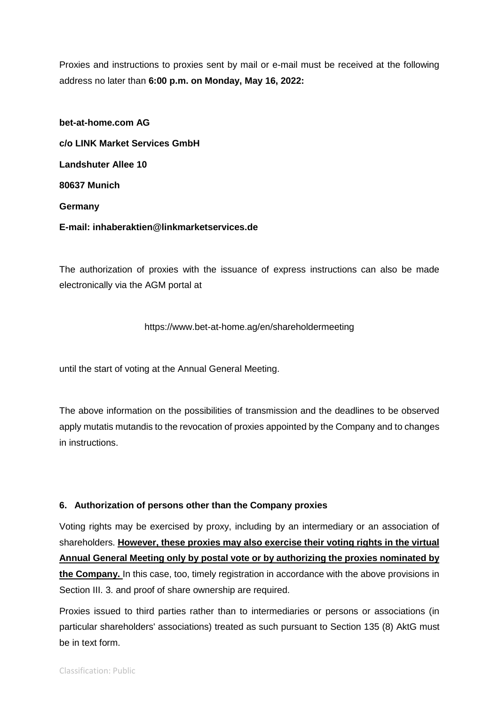Proxies and instructions to proxies sent by mail or e-mail must be received at the following address no later than **6:00 p.m. on Monday, May 16, 2022:**

**bet-at-home.com AG c/o LINK Market Services GmbH Landshuter Allee 10 80637 Munich Germany E-mail: inhaberaktien@linkmarketservices.de**

The authorization of proxies with the issuance of express instructions can also be made electronically via the AGM portal at

https://www.bet-at-home.ag/en/shareholdermeeting

until the start of voting at the Annual General Meeting.

The above information on the possibilities of transmission and the deadlines to be observed apply mutatis mutandis to the revocation of proxies appointed by the Company and to changes in instructions.

### **6. Authorization of persons other than the Company proxies**

Voting rights may be exercised by proxy, including by an intermediary or an association of shareholders. **However, these proxies may also exercise their voting rights in the virtual Annual General Meeting only by postal vote or by authorizing the proxies nominated by the Company.** In this case, too, timely registration in accordance with the above provisions in Section III. 3. and proof of share ownership are required.

Proxies issued to third parties rather than to intermediaries or persons or associations (in particular shareholders' associations) treated as such pursuant to Section 135 (8) AktG must be in text form.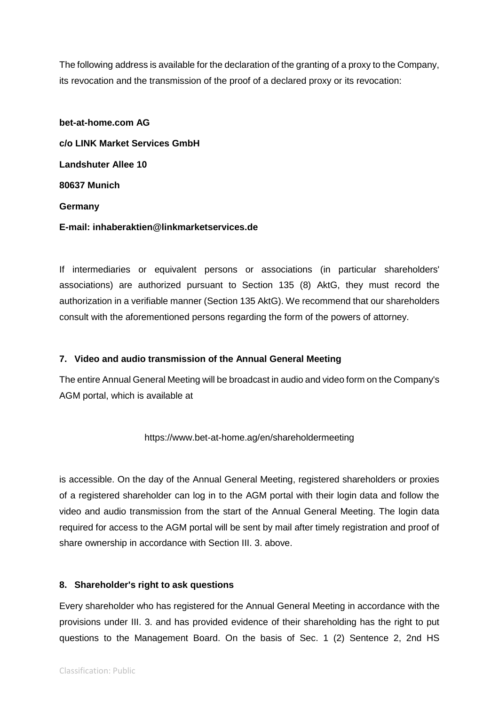The following address is available for the declaration of the granting of a proxy to the Company, its revocation and the transmission of the proof of a declared proxy or its revocation:

**bet-at-home.com AG c/o LINK Market Services GmbH Landshuter Allee 10 80637 Munich Germany E-mail: inhaberaktien@linkmarketservices.de**

If intermediaries or equivalent persons or associations (in particular shareholders' associations) are authorized pursuant to Section 135 (8) AktG, they must record the authorization in a verifiable manner (Section 135 AktG). We recommend that our shareholders consult with the aforementioned persons regarding the form of the powers of attorney.

### **7. Video and audio transmission of the Annual General Meeting**

The entire Annual General Meeting will be broadcast in audio and video form on the Company's AGM portal, which is available at

https://www.bet-at-home.ag/en/shareholdermeeting

is accessible. On the day of the Annual General Meeting, registered shareholders or proxies of a registered shareholder can log in to the AGM portal with their login data and follow the video and audio transmission from the start of the Annual General Meeting. The login data required for access to the AGM portal will be sent by mail after timely registration and proof of share ownership in accordance with Section III. 3. above.

### **8. Shareholder's right to ask questions**

Every shareholder who has registered for the Annual General Meeting in accordance with the provisions under III. 3. and has provided evidence of their shareholding has the right to put questions to the Management Board. On the basis of Sec. 1 (2) Sentence 2, 2nd HS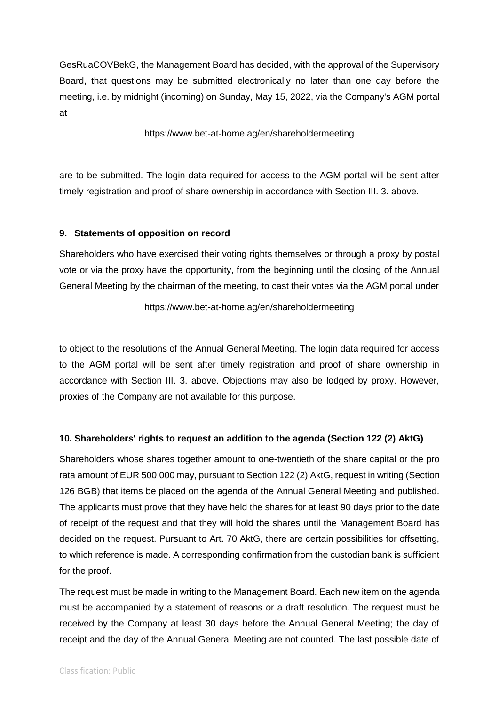GesRuaCOVBekG, the Management Board has decided, with the approval of the Supervisory Board, that questions may be submitted electronically no later than one day before the meeting, i.e. by midnight (incoming) on Sunday, May 15, 2022, via the Company's AGM portal at

https://www.bet-at-home.ag/en/shareholdermeeting

are to be submitted. The login data required for access to the AGM portal will be sent after timely registration and proof of share ownership in accordance with Section III. 3. above.

## **9. Statements of opposition on record**

Shareholders who have exercised their voting rights themselves or through a proxy by postal vote or via the proxy have the opportunity, from the beginning until the closing of the Annual General Meeting by the chairman of the meeting, to cast their votes via the AGM portal under

### https://www.bet-at-home.ag/en/shareholdermeeting

to object to the resolutions of the Annual General Meeting. The login data required for access to the AGM portal will be sent after timely registration and proof of share ownership in accordance with Section III. 3. above. Objections may also be lodged by proxy. However, proxies of the Company are not available for this purpose.

## **10. Shareholders' rights to request an addition to the agenda (Section 122 (2) AktG)**

Shareholders whose shares together amount to one-twentieth of the share capital or the pro rata amount of EUR 500,000 may, pursuant to Section 122 (2) AktG, request in writing (Section 126 BGB) that items be placed on the agenda of the Annual General Meeting and published. The applicants must prove that they have held the shares for at least 90 days prior to the date of receipt of the request and that they will hold the shares until the Management Board has decided on the request. Pursuant to Art. 70 AktG, there are certain possibilities for offsetting, to which reference is made. A corresponding confirmation from the custodian bank is sufficient for the proof.

The request must be made in writing to the Management Board. Each new item on the agenda must be accompanied by a statement of reasons or a draft resolution. The request must be received by the Company at least 30 days before the Annual General Meeting; the day of receipt and the day of the Annual General Meeting are not counted. The last possible date of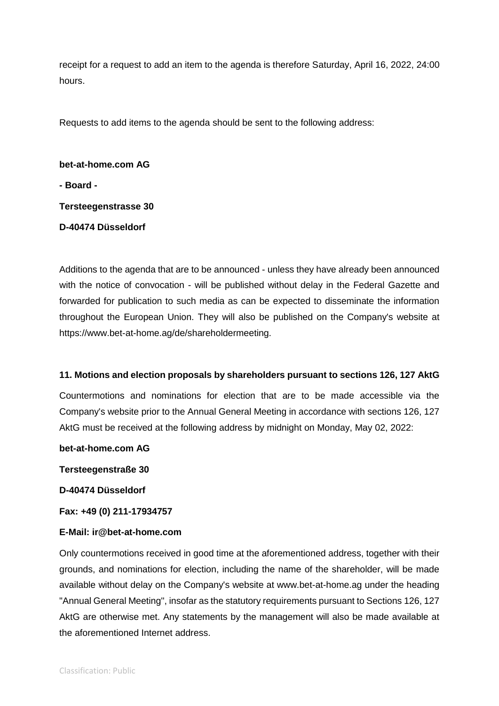receipt for a request to add an item to the agenda is therefore Saturday, April 16, 2022, 24:00 hours.

Requests to add items to the agenda should be sent to the following address:

**bet-at-home.com AG - Board - Tersteegenstrasse 30 D-40474 Düsseldorf**

Additions to the agenda that are to be announced - unless they have already been announced with the notice of convocation - will be published without delay in the Federal Gazette and forwarded for publication to such media as can be expected to disseminate the information throughout the European Union. They will also be published on the Company's website at https://www.bet-at-home.ag/de/shareholdermeeting.

### **11. Motions and election proposals by shareholders pursuant to sections 126, 127 AktG**

Countermotions and nominations for election that are to be made accessible via the Company's website prior to the Annual General Meeting in accordance with sections 126, 127 AktG must be received at the following address by midnight on Monday, May 02, 2022:

**bet-at-home.com AG**

**Tersteegenstraße 30**

**D-40474 Düsseldorf**

**Fax: +49 (0) 211-17934757**

### **E-Mail: ir@bet-at-home.com**

Only countermotions received in good time at the aforementioned address, together with their grounds, and nominations for election, including the name of the shareholder, will be made available without delay on the Company's website at www.bet-at-home.ag under the heading "Annual General Meeting", insofar as the statutory requirements pursuant to Sections 126, 127 AktG are otherwise met. Any statements by the management will also be made available at the aforementioned Internet address.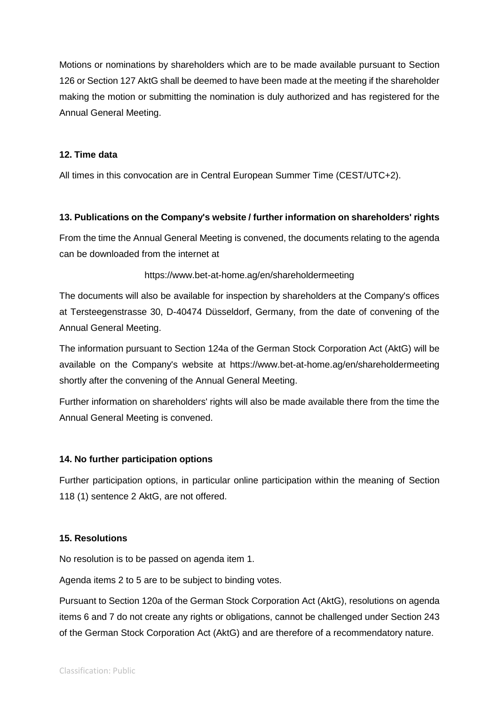Motions or nominations by shareholders which are to be made available pursuant to Section 126 or Section 127 AktG shall be deemed to have been made at the meeting if the shareholder making the motion or submitting the nomination is duly authorized and has registered for the Annual General Meeting.

## **12. Time data**

All times in this convocation are in Central European Summer Time (CEST/UTC+2).

## **13. Publications on the Company's website / further information on shareholders' rights**

From the time the Annual General Meeting is convened, the documents relating to the agenda can be downloaded from the internet at

## https://www.bet-at-home.ag/en/shareholdermeeting

The documents will also be available for inspection by shareholders at the Company's offices at Tersteegenstrasse 30, D-40474 Düsseldorf, Germany, from the date of convening of the Annual General Meeting.

The information pursuant to Section 124a of the German Stock Corporation Act (AktG) will be available on the Company's website at https://www.bet-at-home.ag/en/shareholdermeeting shortly after the convening of the Annual General Meeting.

Further information on shareholders' rights will also be made available there from the time the Annual General Meeting is convened.

### **14. No further participation options**

Further participation options, in particular online participation within the meaning of Section 118 (1) sentence 2 AktG, are not offered.

### **15. Resolutions**

No resolution is to be passed on agenda item 1.

Agenda items 2 to 5 are to be subject to binding votes.

Pursuant to Section 120a of the German Stock Corporation Act (AktG), resolutions on agenda items 6 and 7 do not create any rights or obligations, cannot be challenged under Section 243 of the German Stock Corporation Act (AktG) and are therefore of a recommendatory nature.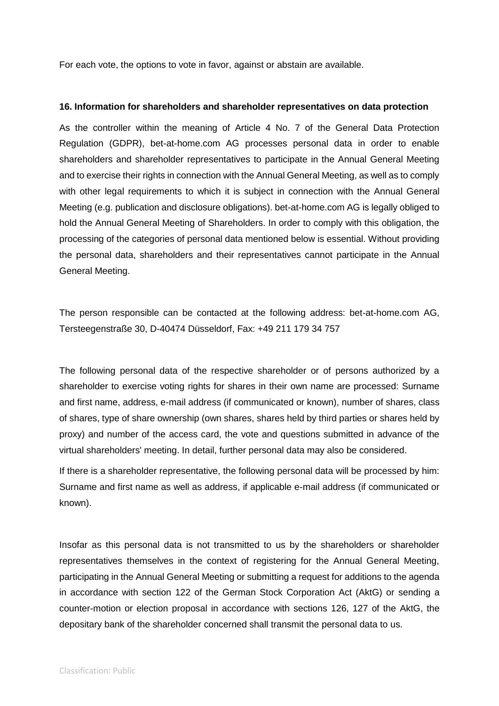For each vote, the options to vote in favor, against or abstain are available.

#### **16. Information for shareholders and shareholder representatives on data protection**

As the controller within the meaning of Article 4 No. 7 of the General Data Protection Regulation (GDPR), bet-at-home.com AG processes personal data in order to enable shareholders and shareholder representatives to participate in the Annual General Meeting and to exercise their rights in connection with the Annual General Meeting, as well as to comply with other legal requirements to which it is subject in connection with the Annual General Meeting (e.g. publication and disclosure obligations). bet-at-home.com AG is legally obliged to hold the Annual General Meeting of Shareholders. In order to comply with this obligation, the processing of the categories of personal data mentioned below is essential. Without providing the personal data, shareholders and their representatives cannot participate in the Annual General Meeting.

The person responsible can be contacted at the following address: bet-at-home.com AG, Tersteegenstraße 30, D-40474 Düsseldorf, Fax: +49 211 179 34 757

The following personal data of the respective shareholder or of persons authorized by a shareholder to exercise voting rights for shares in their own name are processed: Surname and first name, address, e-mail address (if communicated or known), number of shares, class of shares, type of share ownership (own shares, shares held by third parties or shares held by proxy) and number of the access card, the vote and questions submitted in advance of the virtual shareholders' meeting. In detail, further personal data may also be considered.

If there is a shareholder representative, the following personal data will be processed by him: Surname and first name as well as address, if applicable e-mail address (if communicated or known).

Insofar as this personal data is not transmitted to us by the shareholders or shareholder representatives themselves in the context of registering for the Annual General Meeting, participating in the Annual General Meeting or submitting a request for additions to the agenda in accordance with section 122 of the German Stock Corporation Act (AktG) or sending a counter-motion or election proposal in accordance with sections 126, 127 of the AktG, the depositary bank of the shareholder concerned shall transmit the personal data to us.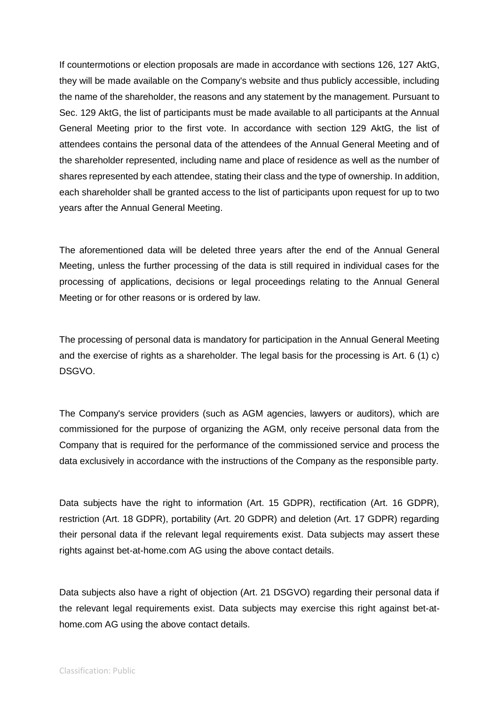If countermotions or election proposals are made in accordance with sections 126, 127 AktG, they will be made available on the Company's website and thus publicly accessible, including the name of the shareholder, the reasons and any statement by the management. Pursuant to Sec. 129 AktG, the list of participants must be made available to all participants at the Annual General Meeting prior to the first vote. In accordance with section 129 AktG, the list of attendees contains the personal data of the attendees of the Annual General Meeting and of the shareholder represented, including name and place of residence as well as the number of shares represented by each attendee, stating their class and the type of ownership. In addition, each shareholder shall be granted access to the list of participants upon request for up to two years after the Annual General Meeting.

The aforementioned data will be deleted three years after the end of the Annual General Meeting, unless the further processing of the data is still required in individual cases for the processing of applications, decisions or legal proceedings relating to the Annual General Meeting or for other reasons or is ordered by law.

The processing of personal data is mandatory for participation in the Annual General Meeting and the exercise of rights as a shareholder. The legal basis for the processing is Art. 6 (1) c) DSGVO.

The Company's service providers (such as AGM agencies, lawyers or auditors), which are commissioned for the purpose of organizing the AGM, only receive personal data from the Company that is required for the performance of the commissioned service and process the data exclusively in accordance with the instructions of the Company as the responsible party.

Data subjects have the right to information (Art. 15 GDPR), rectification (Art. 16 GDPR), restriction (Art. 18 GDPR), portability (Art. 20 GDPR) and deletion (Art. 17 GDPR) regarding their personal data if the relevant legal requirements exist. Data subjects may assert these rights against bet-at-home.com AG using the above contact details.

Data subjects also have a right of objection (Art. 21 DSGVO) regarding their personal data if the relevant legal requirements exist. Data subjects may exercise this right against bet-athome.com AG using the above contact details.